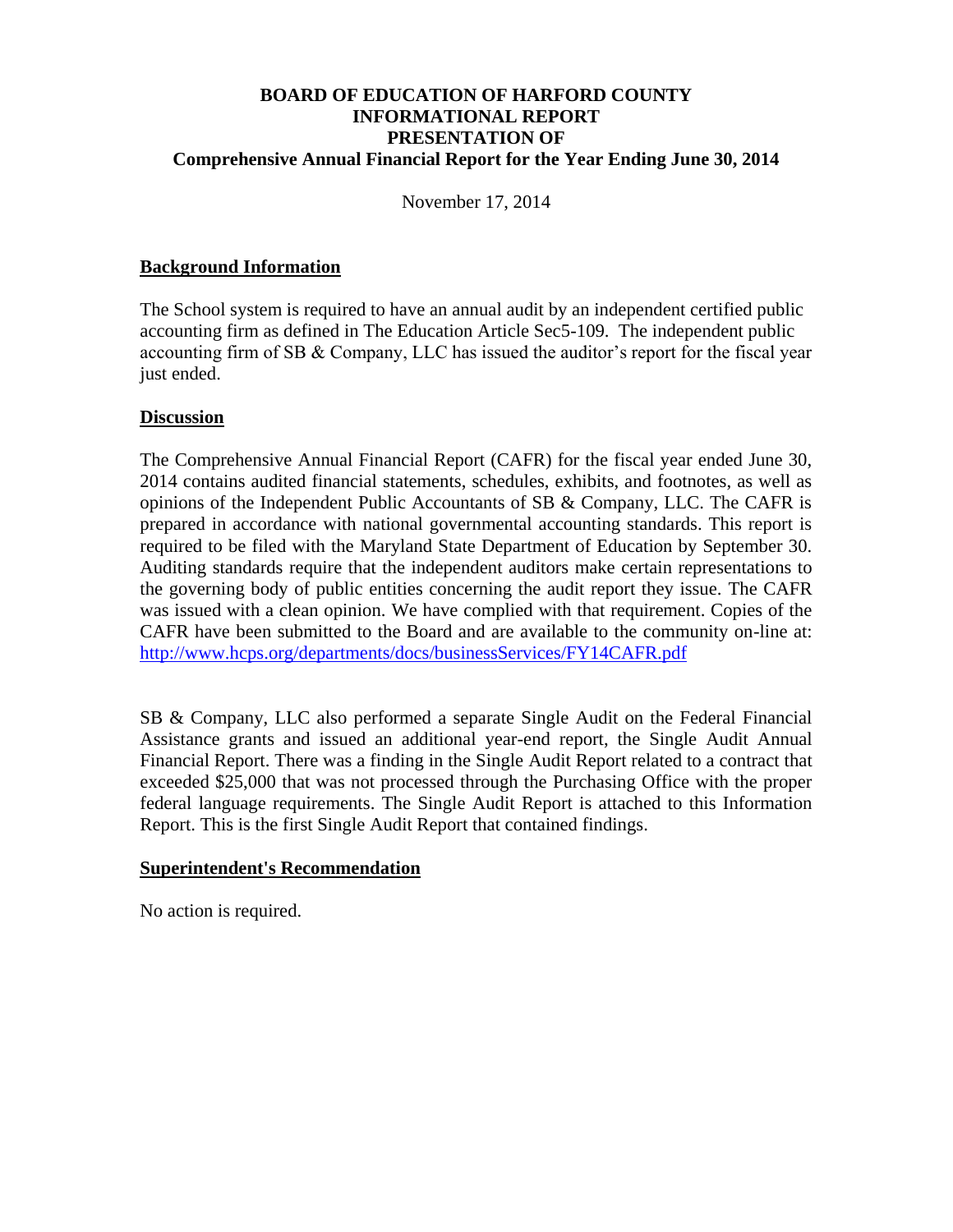### **BOARD OF EDUCATION OF HARFORD COUNTY INFORMATIONAL REPORT PRESENTATION OF Comprehensive Annual Financial Report for the Year Ending June 30, 2014**

November 17, 2014

#### **Background Information**

The School system is required to have an annual audit by an independent certified public accounting firm as defined in The Education Article Sec5-109. The independent public accounting firm of SB & Company, LLC has issued the auditor's report for the fiscal year just ended.

#### **Discussion**

The Comprehensive Annual Financial Report (CAFR) for the fiscal year ended June 30, 2014 contains audited financial statements, schedules, exhibits, and footnotes, as well as opinions of the Independent Public Accountants of SB & Company, LLC. The CAFR is prepared in accordance with national governmental accounting standards. This report is required to be filed with the Maryland State Department of Education by September 30. Auditing standards require that the independent auditors make certain representations to the governing body of public entities concerning the audit report they issue. The CAFR was issued with a clean opinion. We have complied with that requirement. Copies of the CAFR have been submitted to the Board and are available to the community on-line at: <http://www.hcps.org/departments/docs/businessServices/FY14CAFR.pdf>

SB & Company, LLC also performed a separate Single Audit on the Federal Financial Assistance grants and issued an additional year-end report, the Single Audit Annual Financial Report. There was a finding in the Single Audit Report related to a contract that exceeded \$25,000 that was not processed through the Purchasing Office with the proper federal language requirements. The Single Audit Report is attached to this Information Report. This is the first Single Audit Report that contained findings.

#### **Superintendent's Recommendation**

No action is required.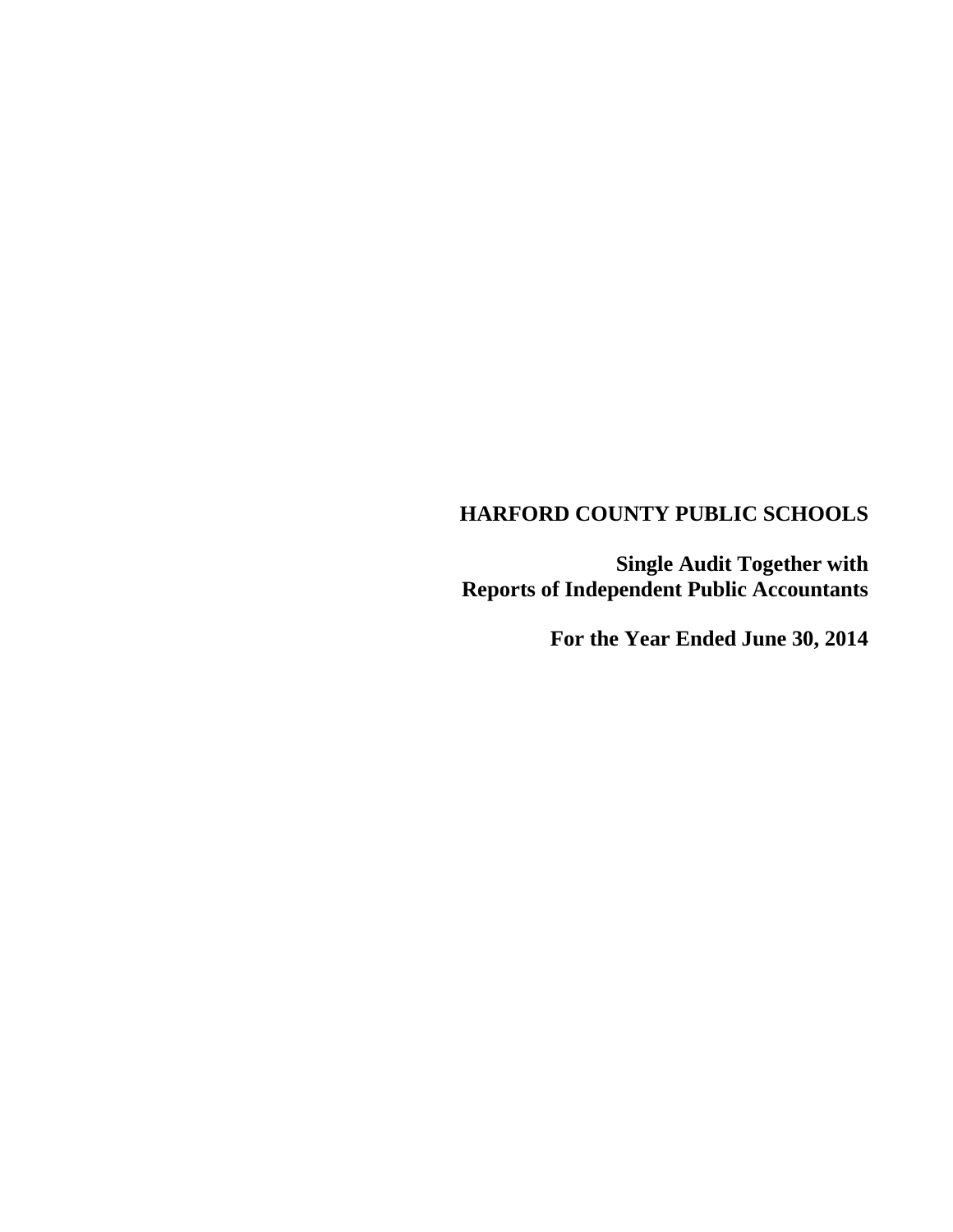**Single Audit Together with Reports of Independent Public Accountants** 

**For the Year Ended June 30, 2014**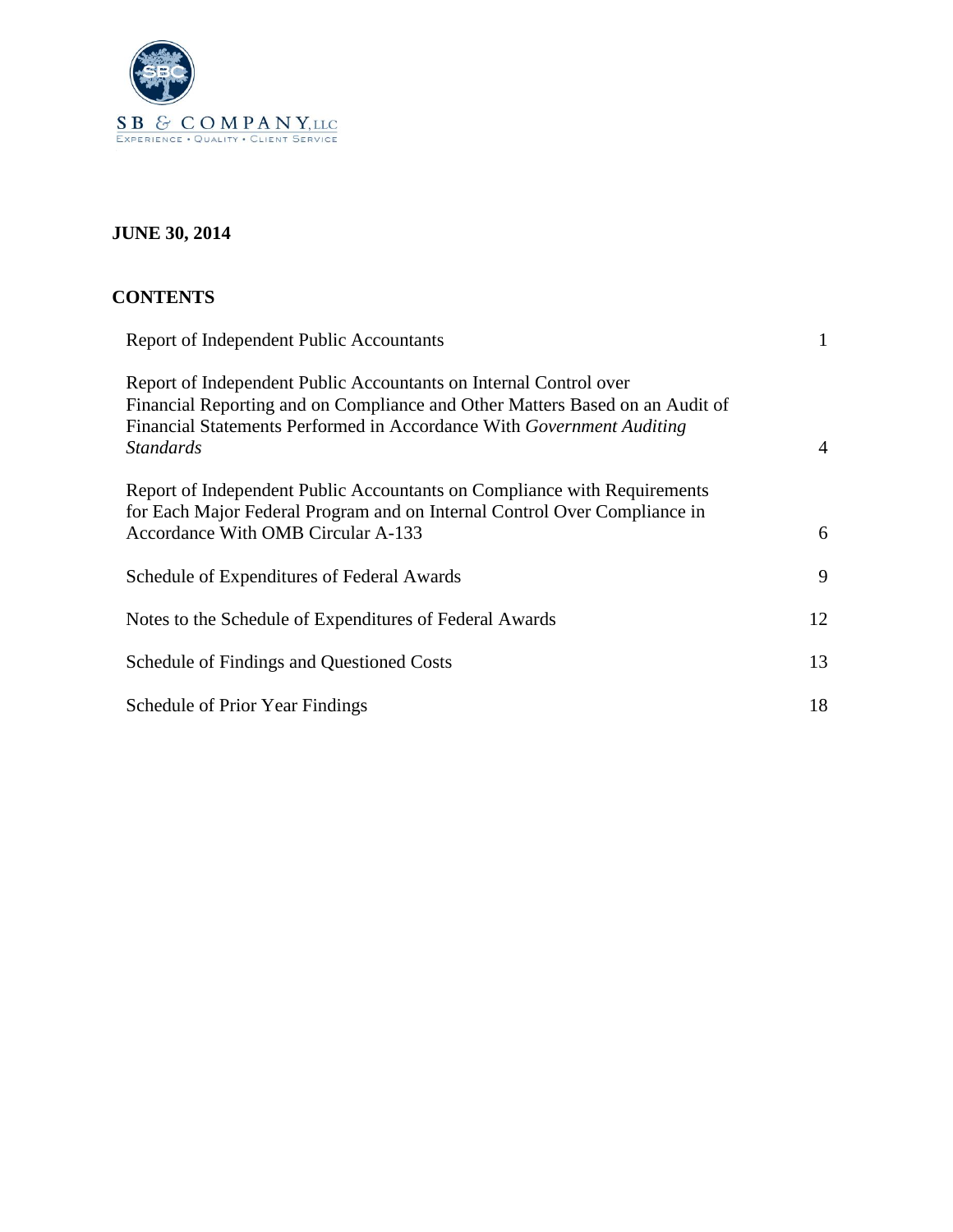

# **JUNE 30, 2014**

| <b>CONTENTS</b>                                                                                                                                                                                                                                |    |
|------------------------------------------------------------------------------------------------------------------------------------------------------------------------------------------------------------------------------------------------|----|
| Report of Independent Public Accountants                                                                                                                                                                                                       | 1  |
| Report of Independent Public Accountants on Internal Control over<br>Financial Reporting and on Compliance and Other Matters Based on an Audit of<br>Financial Statements Performed in Accordance With Government Auditing<br><b>Standards</b> | 4  |
| Report of Independent Public Accountants on Compliance with Requirements<br>for Each Major Federal Program and on Internal Control Over Compliance in<br><b>Accordance With OMB Circular A-133</b>                                             | 6  |
| Schedule of Expenditures of Federal Awards                                                                                                                                                                                                     | 9  |
| Notes to the Schedule of Expenditures of Federal Awards                                                                                                                                                                                        | 12 |
| Schedule of Findings and Questioned Costs                                                                                                                                                                                                      | 13 |
| Schedule of Prior Year Findings                                                                                                                                                                                                                | 18 |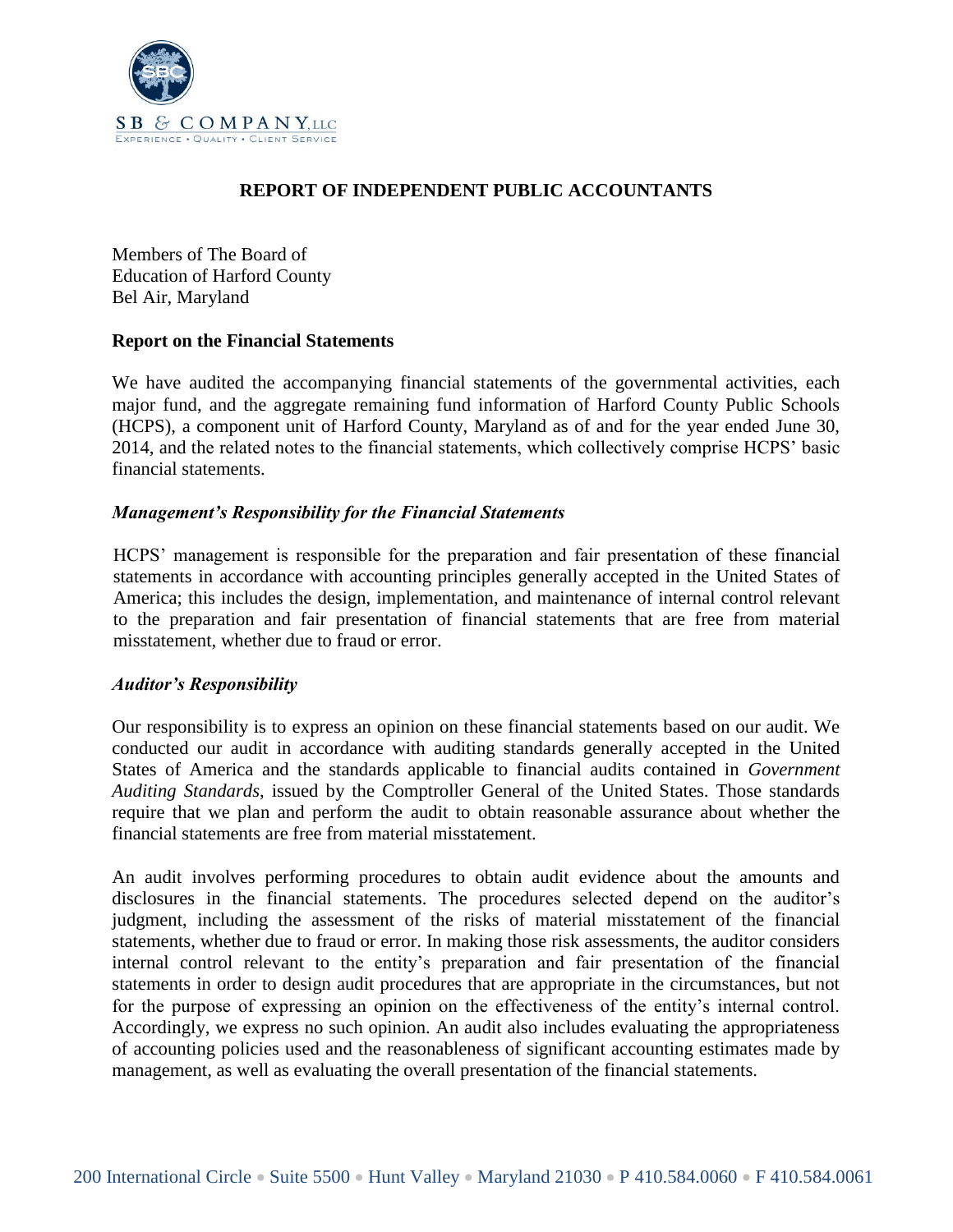

## **REPORT OF INDEPENDENT PUBLIC ACCOUNTANTS**

Members of The Board of Education of Harford County Bel Air, Maryland

#### **Report on the Financial Statements**

We have audited the accompanying financial statements of the governmental activities, each major fund, and the aggregate remaining fund information of Harford County Public Schools (HCPS), a component unit of Harford County, Maryland as of and for the year ended June 30, 2014, and the related notes to the financial statements, which collectively comprise HCPS' basic financial statements.

#### *Management's Responsibility for the Financial Statements*

HCPS' management is responsible for the preparation and fair presentation of these financial statements in accordance with accounting principles generally accepted in the United States of America; this includes the design, implementation, and maintenance of internal control relevant to the preparation and fair presentation of financial statements that are free from material misstatement, whether due to fraud or error.

#### *Auditor's Responsibility*

Our responsibility is to express an opinion on these financial statements based on our audit. We conducted our audit in accordance with auditing standards generally accepted in the United States of America and the standards applicable to financial audits contained in *Government Auditing Standards*, issued by the Comptroller General of the United States. Those standards require that we plan and perform the audit to obtain reasonable assurance about whether the financial statements are free from material misstatement.

An audit involves performing procedures to obtain audit evidence about the amounts and disclosures in the financial statements. The procedures selected depend on the auditor's judgment, including the assessment of the risks of material misstatement of the financial statements, whether due to fraud or error. In making those risk assessments, the auditor considers internal control relevant to the entity's preparation and fair presentation of the financial statements in order to design audit procedures that are appropriate in the circumstances, but not for the purpose of expressing an opinion on the effectiveness of the entity's internal control. Accordingly, we express no such opinion. An audit also includes evaluating the appropriateness of accounting policies used and the reasonableness of significant accounting estimates made by management, as well as evaluating the overall presentation of the financial statements.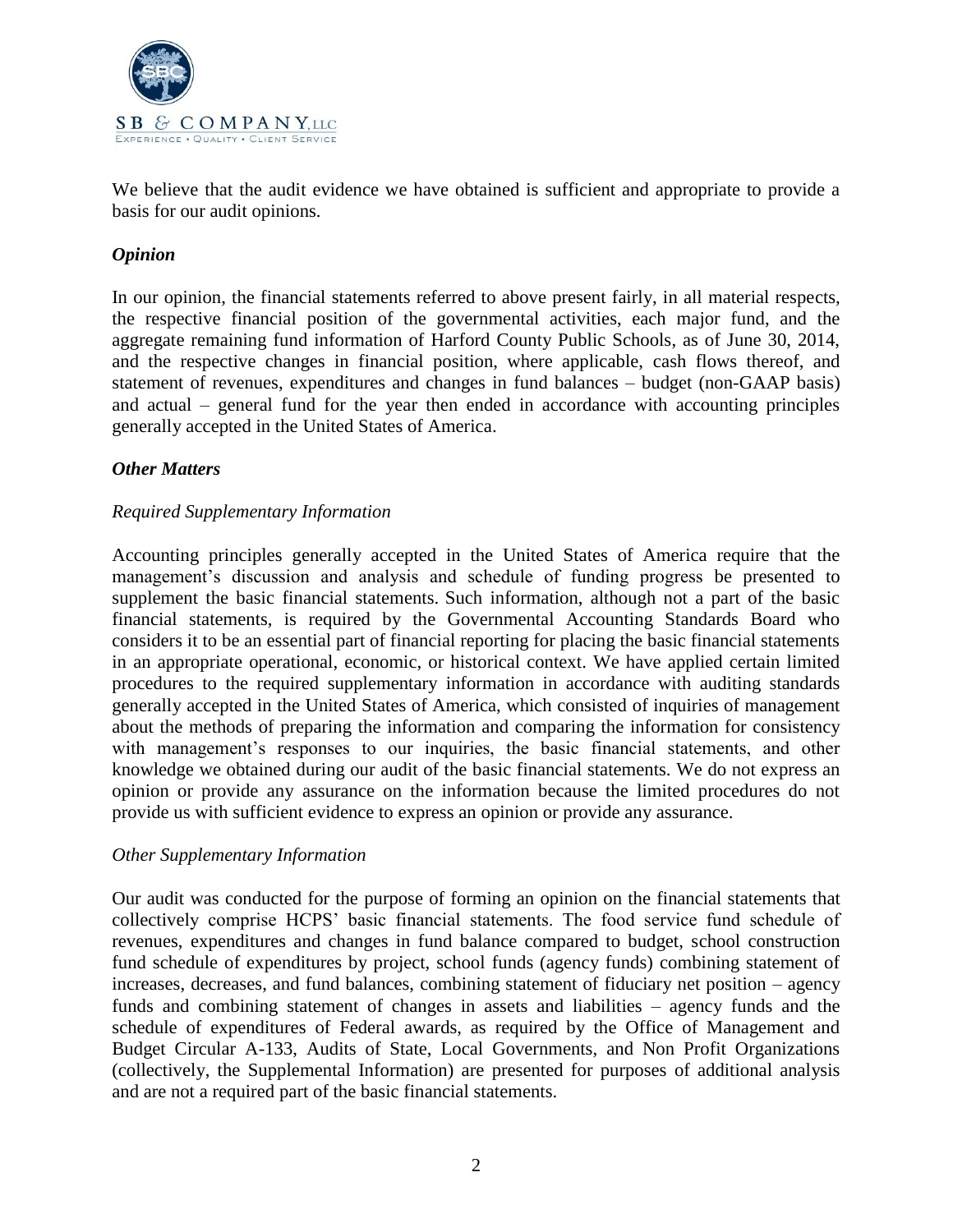

We believe that the audit evidence we have obtained is sufficient and appropriate to provide a basis for our audit opinions.

## *Opinion*

In our opinion, the financial statements referred to above present fairly, in all material respects, the respective financial position of the governmental activities, each major fund, and the aggregate remaining fund information of Harford County Public Schools, as of June 30, 2014, and the respective changes in financial position, where applicable, cash flows thereof, and statement of revenues, expenditures and changes in fund balances – budget (non-GAAP basis) and actual – general fund for the year then ended in accordance with accounting principles generally accepted in the United States of America.

#### *Other Matters*

#### *Required Supplementary Information*

Accounting principles generally accepted in the United States of America require that the management's discussion and analysis and schedule of funding progress be presented to supplement the basic financial statements. Such information, although not a part of the basic financial statements, is required by the Governmental Accounting Standards Board who considers it to be an essential part of financial reporting for placing the basic financial statements in an appropriate operational, economic, or historical context. We have applied certain limited procedures to the required supplementary information in accordance with auditing standards generally accepted in the United States of America, which consisted of inquiries of management about the methods of preparing the information and comparing the information for consistency with management's responses to our inquiries, the basic financial statements, and other knowledge we obtained during our audit of the basic financial statements. We do not express an opinion or provide any assurance on the information because the limited procedures do not provide us with sufficient evidence to express an opinion or provide any assurance.

#### *Other Supplementary Information*

Our audit was conducted for the purpose of forming an opinion on the financial statements that collectively comprise HCPS' basic financial statements. The food service fund schedule of revenues, expenditures and changes in fund balance compared to budget, school construction fund schedule of expenditures by project, school funds (agency funds) combining statement of increases, decreases, and fund balances, combining statement of fiduciary net position – agency funds and combining statement of changes in assets and liabilities – agency funds and the schedule of expenditures of Federal awards, as required by the Office of Management and Budget Circular A-133, Audits of State, Local Governments, and Non Profit Organizations (collectively, the Supplemental Information) are presented for purposes of additional analysis and are not a required part of the basic financial statements.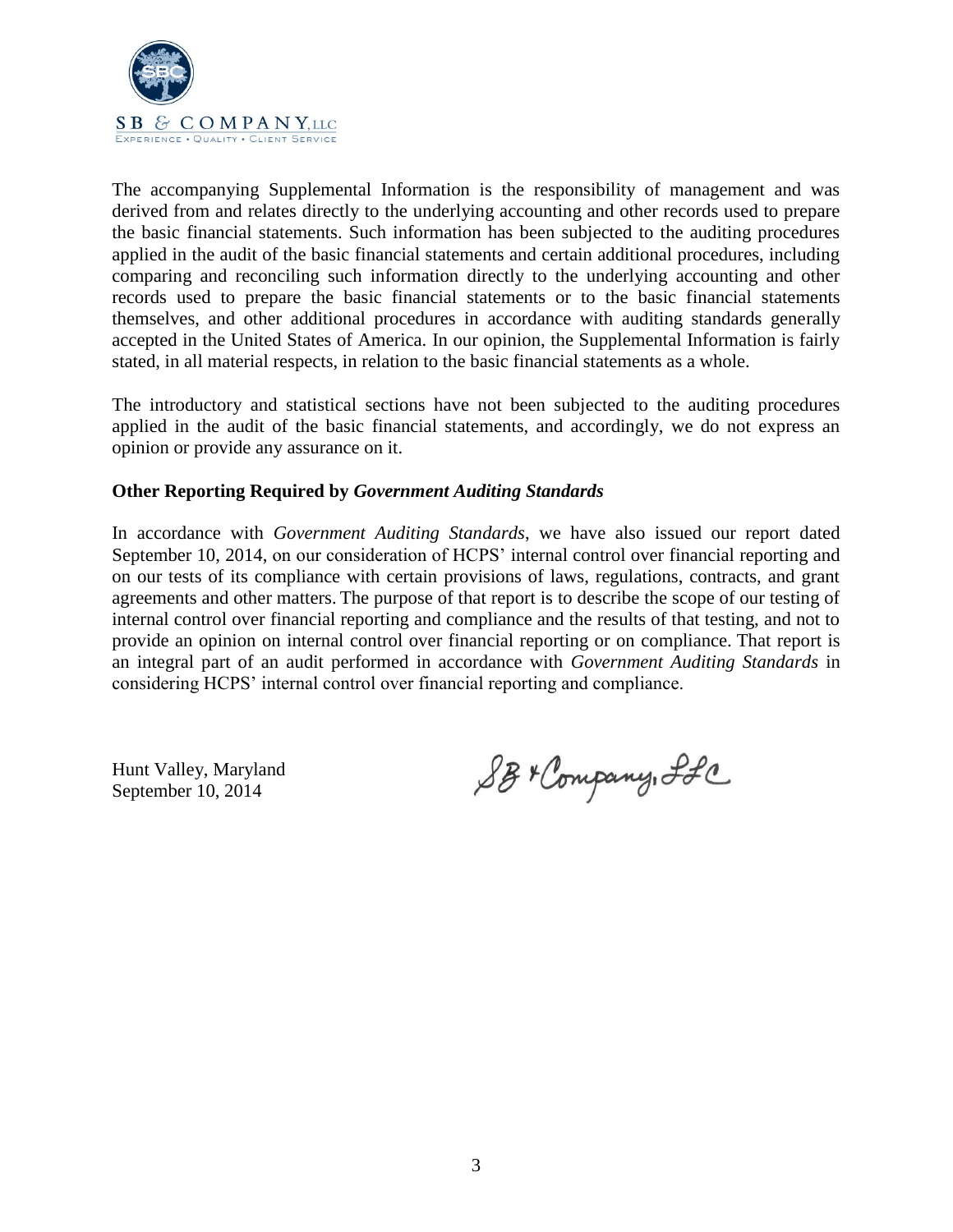

The accompanying Supplemental Information is the responsibility of management and was derived from and relates directly to the underlying accounting and other records used to prepare the basic financial statements. Such information has been subjected to the auditing procedures applied in the audit of the basic financial statements and certain additional procedures, including comparing and reconciling such information directly to the underlying accounting and other records used to prepare the basic financial statements or to the basic financial statements themselves, and other additional procedures in accordance with auditing standards generally accepted in the United States of America. In our opinion, the Supplemental Information is fairly stated, in all material respects, in relation to the basic financial statements as a whole.

The introductory and statistical sections have not been subjected to the auditing procedures applied in the audit of the basic financial statements, and accordingly, we do not express an opinion or provide any assurance on it.

## **Other Reporting Required by** *Government Auditing Standards*

In accordance with *Government Auditing Standards*, we have also issued our report dated September 10, 2014, on our consideration of HCPS' internal control over financial reporting and on our tests of its compliance with certain provisions of laws, regulations, contracts, and grant agreements and other matters. The purpose of that report is to describe the scope of our testing of internal control over financial reporting and compliance and the results of that testing, and not to provide an opinion on internal control over financial reporting or on compliance. That report is an integral part of an audit performed in accordance with *Government Auditing Standards* in considering HCPS' internal control over financial reporting and compliance.

Hunt Valley, Maryland September 10, 2014

SB+ Company, Ifc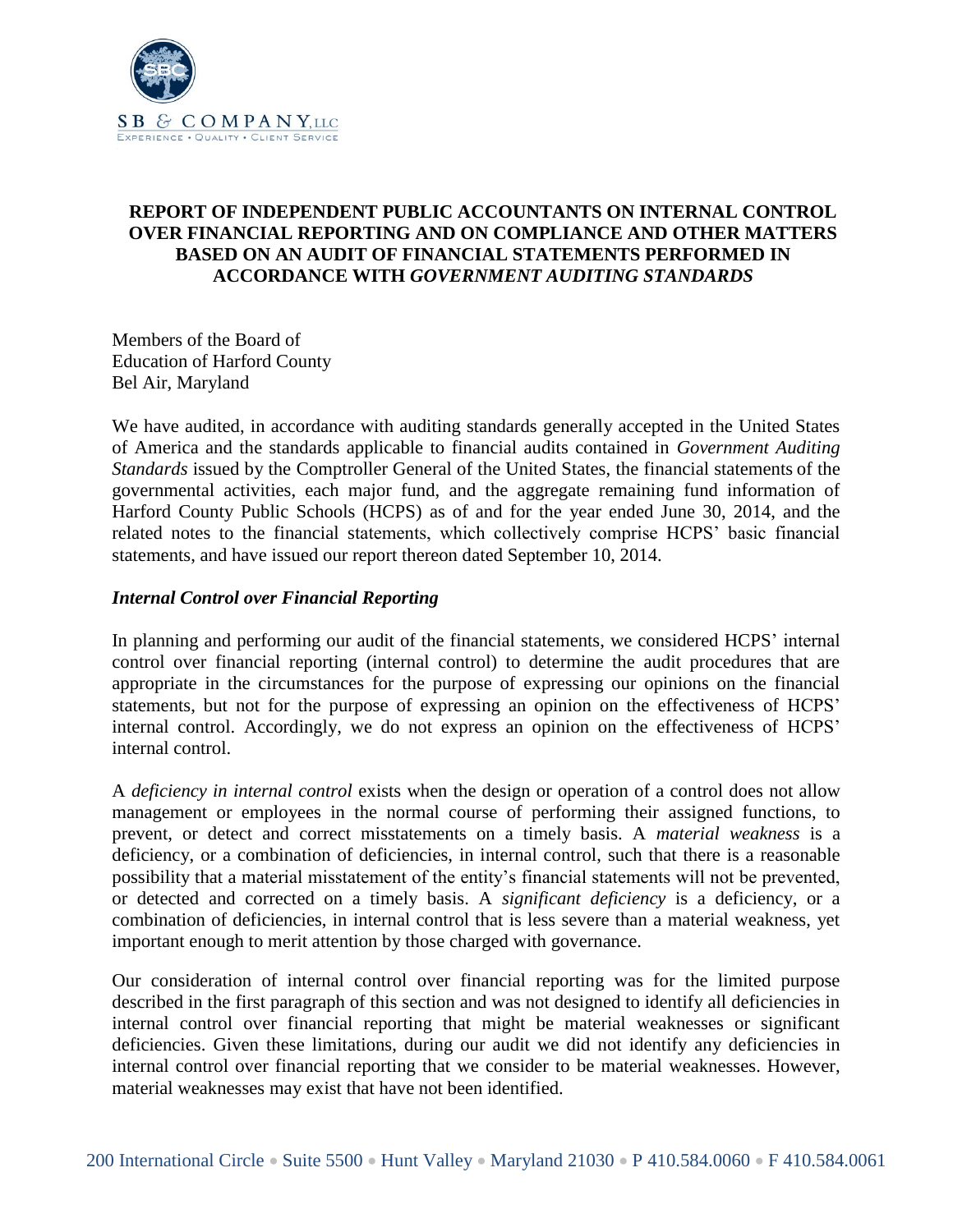

## **REPORT OF INDEPENDENT PUBLIC ACCOUNTANTS ON INTERNAL CONTROL OVER FINANCIAL REPORTING AND ON COMPLIANCE AND OTHER MATTERS BASED ON AN AUDIT OF FINANCIAL STATEMENTS PERFORMED IN ACCORDANCE WITH** *GOVERNMENT AUDITING STANDARDS*

Members of the Board of Education of Harford County Bel Air, Maryland

We have audited, in accordance with auditing standards generally accepted in the United States of America and the standards applicable to financial audits contained in *Government Auditing Standards* issued by the Comptroller General of the United States, the financial statements of the governmental activities, each major fund, and the aggregate remaining fund information of Harford County Public Schools (HCPS) as of and for the year ended June 30, 2014, and the related notes to the financial statements, which collectively comprise HCPS' basic financial statements, and have issued our report thereon dated September 10, 2014.

## *Internal Control over Financial Reporting*

In planning and performing our audit of the financial statements, we considered HCPS' internal control over financial reporting (internal control) to determine the audit procedures that are appropriate in the circumstances for the purpose of expressing our opinions on the financial statements, but not for the purpose of expressing an opinion on the effectiveness of HCPS' internal control. Accordingly, we do not express an opinion on the effectiveness of HCPS' internal control.

A *deficiency in internal control* exists when the design or operation of a control does not allow management or employees in the normal course of performing their assigned functions, to prevent, or detect and correct misstatements on a timely basis. A *material weakness* is a deficiency, or a combination of deficiencies, in internal control, such that there is a reasonable possibility that a material misstatement of the entity's financial statements will not be prevented, or detected and corrected on a timely basis. A *significant deficiency* is a deficiency, or a combination of deficiencies, in internal control that is less severe than a material weakness, yet important enough to merit attention by those charged with governance.

Our consideration of internal control over financial reporting was for the limited purpose described in the first paragraph of this section and was not designed to identify all deficiencies in internal control over financial reporting that might be material weaknesses or significant deficiencies. Given these limitations, during our audit we did not identify any deficiencies in internal control over financial reporting that we consider to be material weaknesses. However, material weaknesses may exist that have not been identified.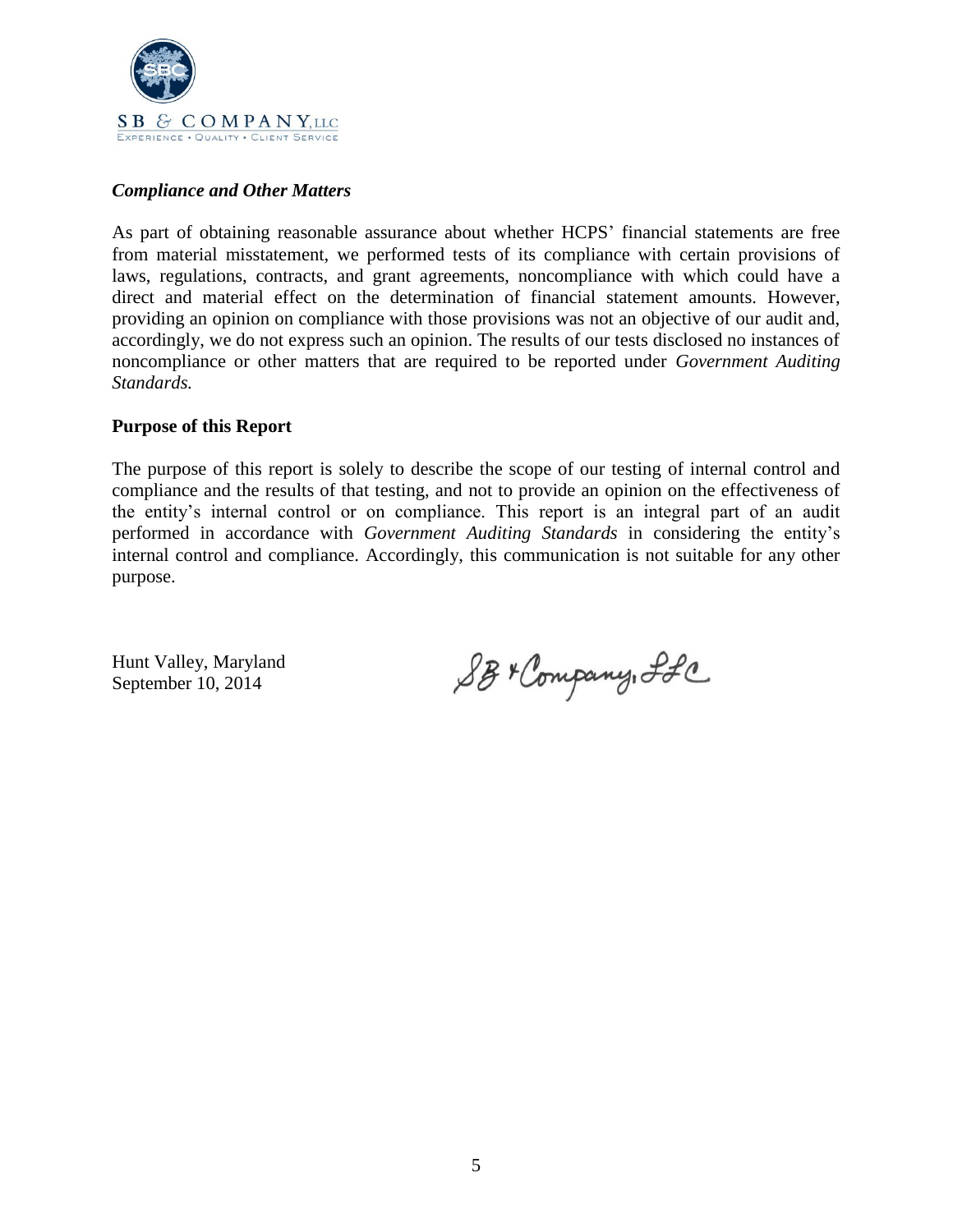

## *Compliance and Other Matters*

As part of obtaining reasonable assurance about whether HCPS' financial statements are free from material misstatement, we performed tests of its compliance with certain provisions of laws, regulations, contracts, and grant agreements, noncompliance with which could have a direct and material effect on the determination of financial statement amounts. However, providing an opinion on compliance with those provisions was not an objective of our audit and, accordingly, we do not express such an opinion. The results of our tests disclosed no instances of noncompliance or other matters that are required to be reported under *Government Auditing Standards.*

#### **Purpose of this Report**

The purpose of this report is solely to describe the scope of our testing of internal control and compliance and the results of that testing, and not to provide an opinion on the effectiveness of the entity's internal control or on compliance. This report is an integral part of an audit performed in accordance with *Government Auditing Standards* in considering the entity's internal control and compliance. Accordingly, this communication is not suitable for any other purpose.

Hunt Valley, Maryland September 10, 2014

SB+ Company, ILC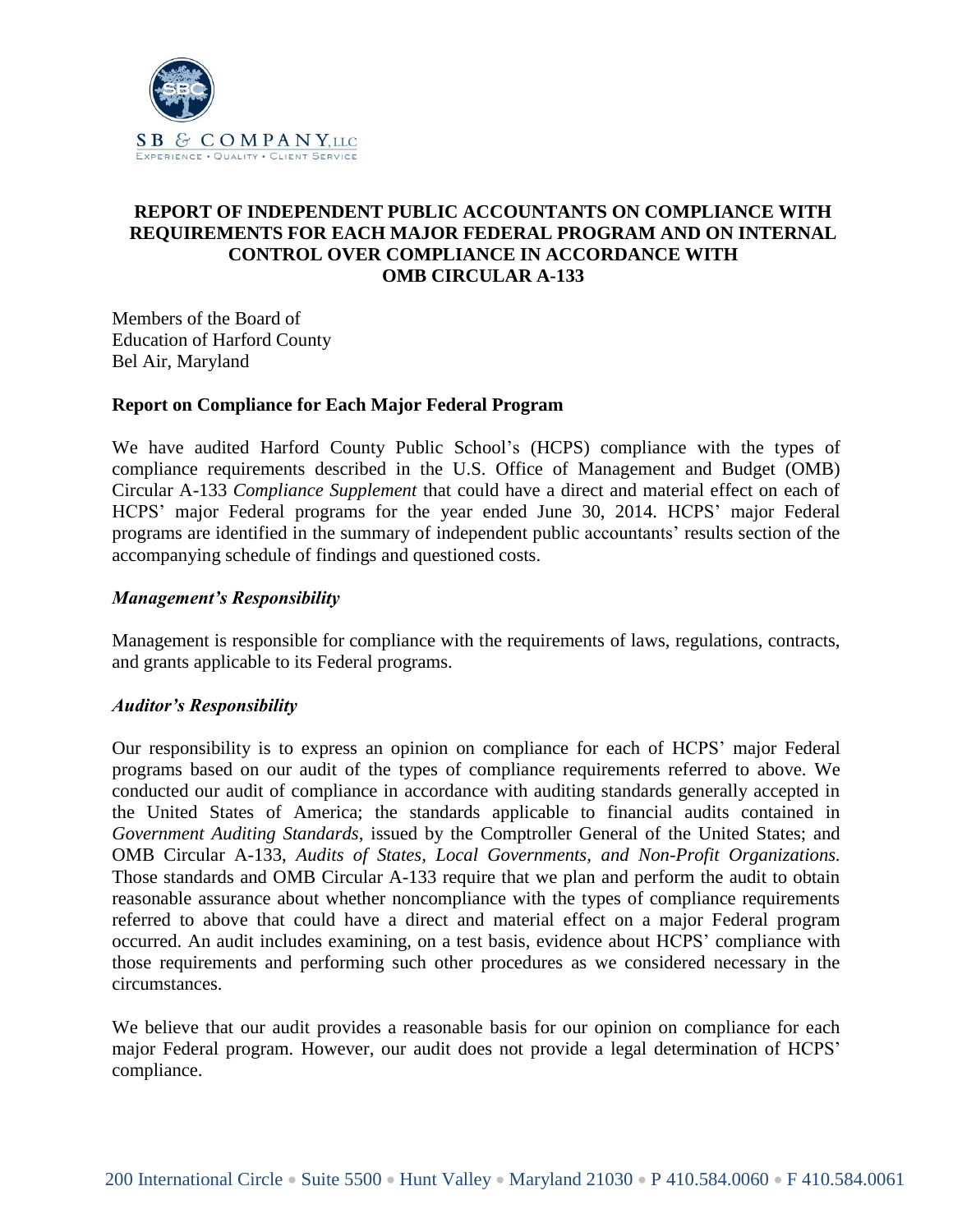

## **REPORT OF INDEPENDENT PUBLIC ACCOUNTANTS ON COMPLIANCE WITH REQUIREMENTS FOR EACH MAJOR FEDERAL PROGRAM AND ON INTERNAL CONTROL OVER COMPLIANCE IN ACCORDANCE WITH OMB CIRCULAR A-133**

Members of the Board of Education of Harford County Bel Air, Maryland

#### **Report on Compliance for Each Major Federal Program**

We have audited Harford County Public School's (HCPS) compliance with the types of compliance requirements described in the U.S. Office of Management and Budget (OMB) Circular A-133 *Compliance Supplement* that could have a direct and material effect on each of HCPS' major Federal programs for the year ended June 30, 2014. HCPS' major Federal programs are identified in the summary of independent public accountants' results section of the accompanying schedule of findings and questioned costs.

#### *Management's Responsibility*

Management is responsible for compliance with the requirements of laws, regulations, contracts, and grants applicable to its Federal programs.

#### *Auditor's Responsibility*

Our responsibility is to express an opinion on compliance for each of HCPS' major Federal programs based on our audit of the types of compliance requirements referred to above. We conducted our audit of compliance in accordance with auditing standards generally accepted in the United States of America; the standards applicable to financial audits contained in *Government Auditing Standards*, issued by the Comptroller General of the United States; and OMB Circular A-133, *Audits of States, Local Governments, and Non-Profit Organizations.*  Those standards and OMB Circular A-133 require that we plan and perform the audit to obtain reasonable assurance about whether noncompliance with the types of compliance requirements referred to above that could have a direct and material effect on a major Federal program occurred. An audit includes examining, on a test basis, evidence about HCPS' compliance with those requirements and performing such other procedures as we considered necessary in the circumstances.

We believe that our audit provides a reasonable basis for our opinion on compliance for each major Federal program. However, our audit does not provide a legal determination of HCPS' compliance.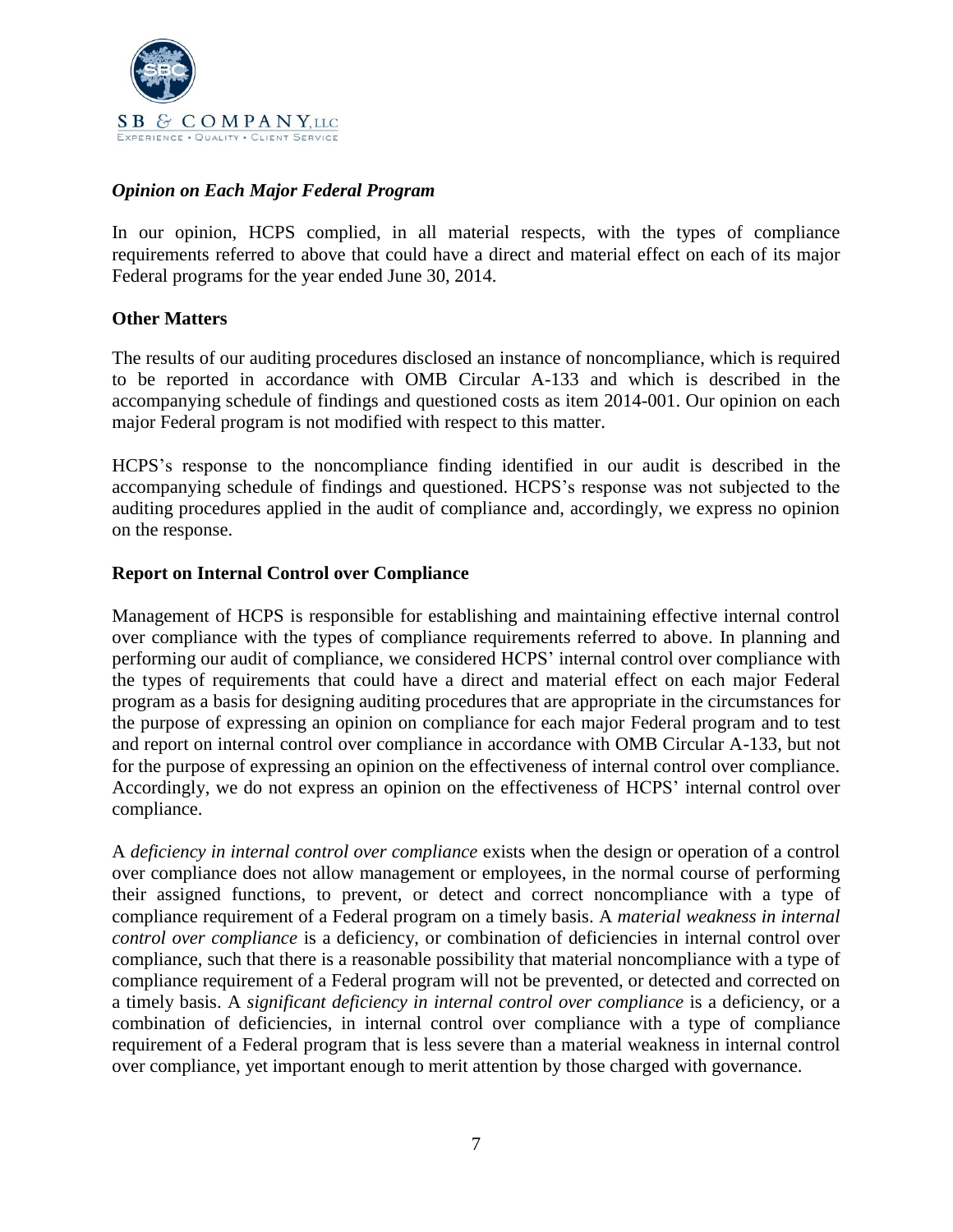

## *Opinion on Each Major Federal Program*

In our opinion, HCPS complied, in all material respects, with the types of compliance requirements referred to above that could have a direct and material effect on each of its major Federal programs for the year ended June 30, 2014.

## **Other Matters**

The results of our auditing procedures disclosed an instance of noncompliance, which is required to be reported in accordance with OMB Circular A-133 and which is described in the accompanying schedule of findings and questioned costs as item 2014-001. Our opinion on each major Federal program is not modified with respect to this matter.

HCPS's response to the noncompliance finding identified in our audit is described in the accompanying schedule of findings and questioned. HCPS's response was not subjected to the auditing procedures applied in the audit of compliance and, accordingly, we express no opinion on the response.

#### **Report on Internal Control over Compliance**

Management of HCPS is responsible for establishing and maintaining effective internal control over compliance with the types of compliance requirements referred to above. In planning and performing our audit of compliance, we considered HCPS' internal control over compliance with the types of requirements that could have a direct and material effect on each major Federal program as a basis for designing auditing procedures that are appropriate in the circumstances for the purpose of expressing an opinion on compliance for each major Federal program and to test and report on internal control over compliance in accordance with OMB Circular A-133, but not for the purpose of expressing an opinion on the effectiveness of internal control over compliance. Accordingly, we do not express an opinion on the effectiveness of HCPS' internal control over compliance.

A *deficiency in internal control over compliance* exists when the design or operation of a control over compliance does not allow management or employees, in the normal course of performing their assigned functions, to prevent, or detect and correct noncompliance with a type of compliance requirement of a Federal program on a timely basis. A *material weakness in internal control over compliance* is a deficiency, or combination of deficiencies in internal control over compliance, such that there is a reasonable possibility that material noncompliance with a type of compliance requirement of a Federal program will not be prevented, or detected and corrected on a timely basis. A *significant deficiency in internal control over compliance* is a deficiency, or a combination of deficiencies, in internal control over compliance with a type of compliance requirement of a Federal program that is less severe than a material weakness in internal control over compliance, yet important enough to merit attention by those charged with governance.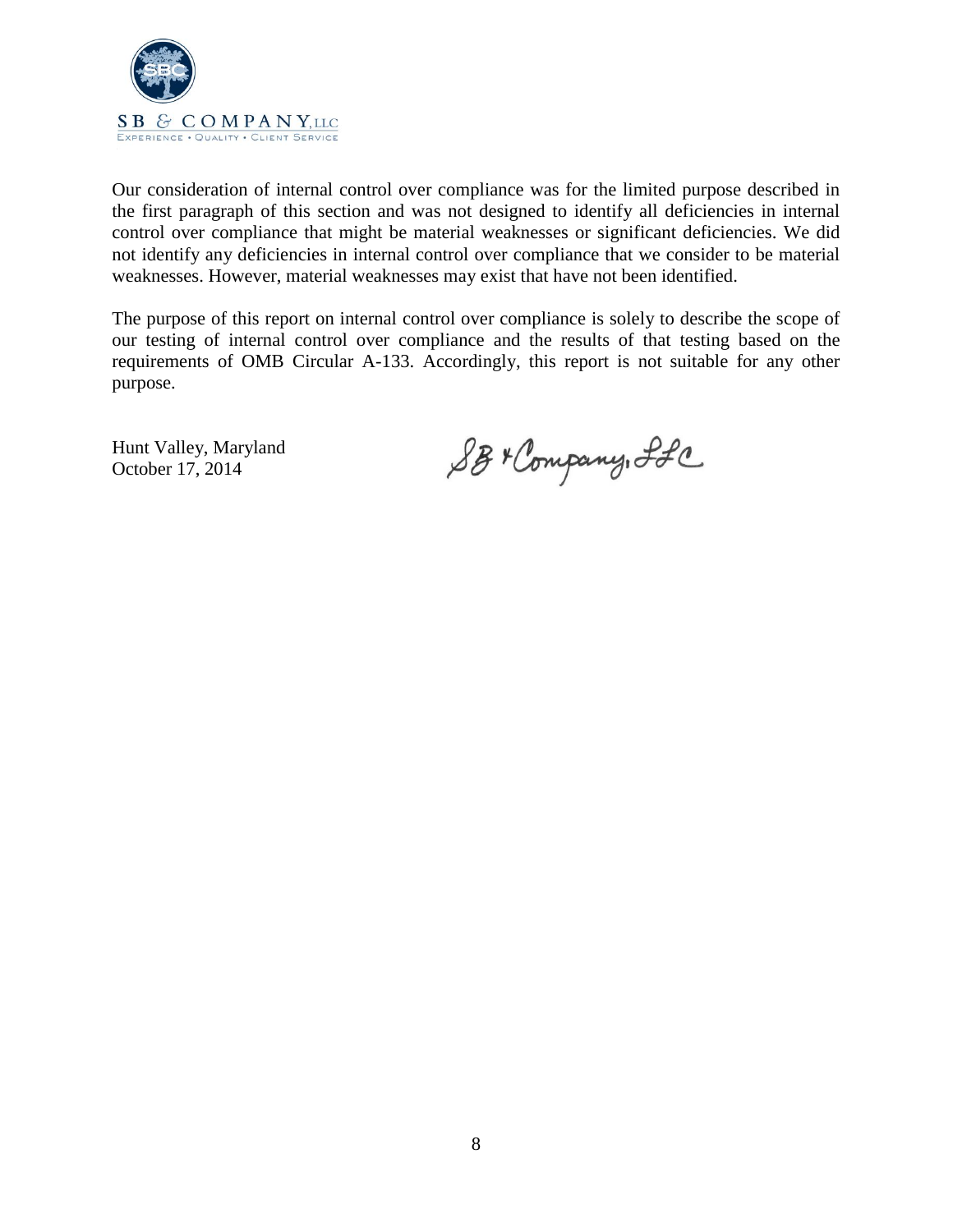

Our consideration of internal control over compliance was for the limited purpose described in the first paragraph of this section and was not designed to identify all deficiencies in internal control over compliance that might be material weaknesses or significant deficiencies. We did not identify any deficiencies in internal control over compliance that we consider to be material weaknesses. However, material weaknesses may exist that have not been identified.

The purpose of this report on internal control over compliance is solely to describe the scope of our testing of internal control over compliance and the results of that testing based on the requirements of OMB Circular A-133. Accordingly, this report is not suitable for any other purpose.

Hunt Valley, Maryland October 17, 2014

SB+ Company, Ifc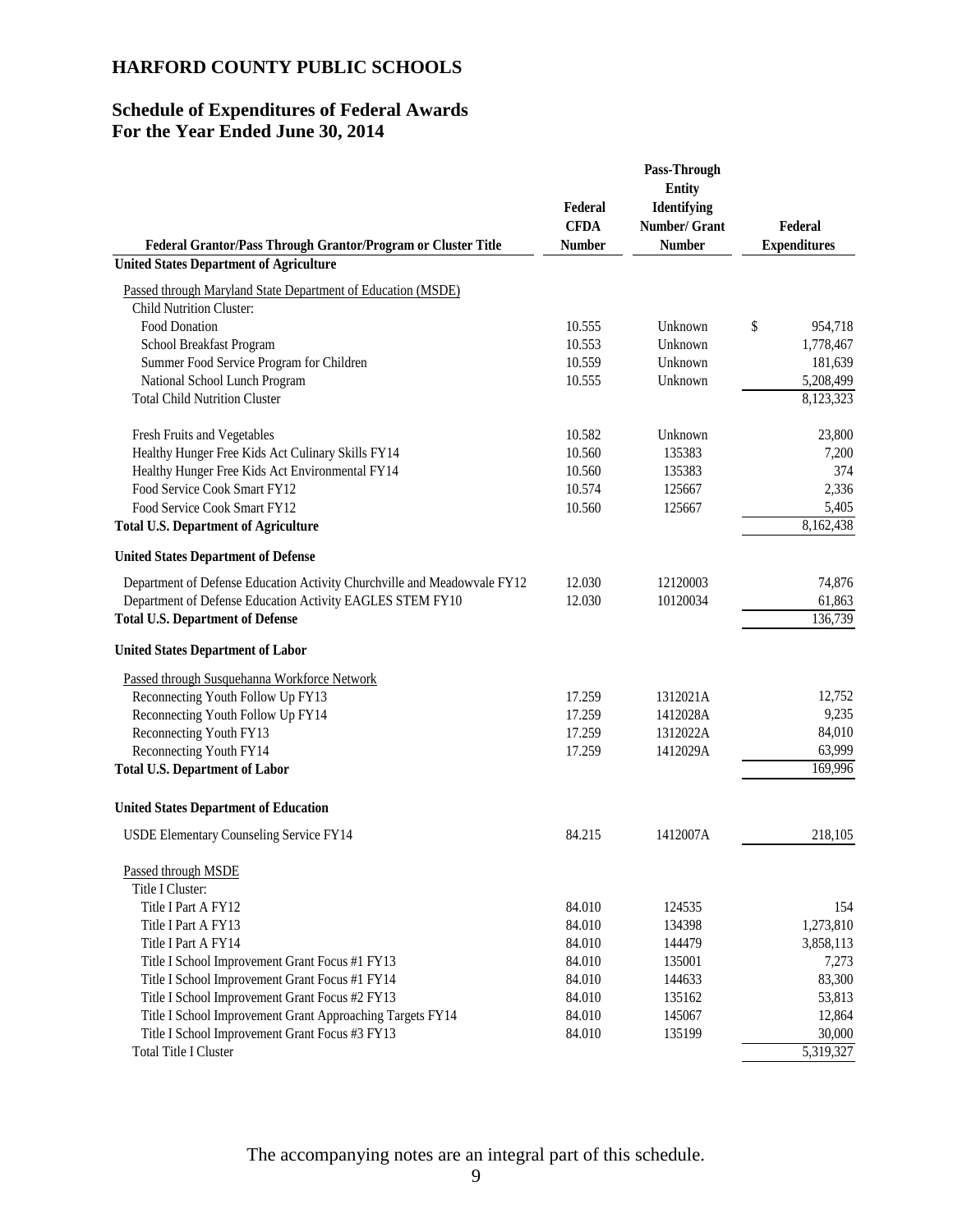## **Schedule of Expenditures of Federal Awards For the Year Ended June 30, 2014**

| Federal Grantor/Pass Through Grantor/Program or Cluster Title                                   | Federal<br><b>CFDA</b><br><b>Number</b> | Pass-Through<br><b>Entity</b><br>Identifying<br>Number/ Grant<br><b>Number</b> | Federal<br><b>Expenditures</b> |
|-------------------------------------------------------------------------------------------------|-----------------------------------------|--------------------------------------------------------------------------------|--------------------------------|
| <b>United States Department of Agriculture</b>                                                  |                                         |                                                                                |                                |
|                                                                                                 |                                         |                                                                                |                                |
| Passed through Maryland State Department of Education (MSDE)<br><b>Child Nutrition Cluster:</b> |                                         |                                                                                |                                |
| Food Donation                                                                                   | 10.555                                  | Unknown                                                                        | \$<br>954,718                  |
| School Breakfast Program                                                                        | 10.553                                  | Unknown                                                                        | 1,778,467                      |
| Summer Food Service Program for Children                                                        | 10.559                                  | Unknown                                                                        | 181,639                        |
| National School Lunch Program                                                                   | 10.555                                  | Unknown                                                                        | 5,208,499                      |
| <b>Total Child Nutrition Cluster</b>                                                            |                                         |                                                                                | 8,123,323                      |
|                                                                                                 |                                         |                                                                                |                                |
| Fresh Fruits and Vegetables                                                                     | 10.582                                  | Unknown                                                                        | 23,800                         |
| Healthy Hunger Free Kids Act Culinary Skills FY14                                               | 10.560                                  | 135383                                                                         | 7,200                          |
| Healthy Hunger Free Kids Act Environmental FY14                                                 | 10.560                                  | 135383                                                                         | 374                            |
| Food Service Cook Smart FY12                                                                    | 10.574                                  | 125667                                                                         | 2,336                          |
| Food Service Cook Smart FY12                                                                    | 10.560                                  | 125667                                                                         | 5,405                          |
| <b>Total U.S. Department of Agriculture</b>                                                     |                                         |                                                                                | 8,162,438                      |
| <b>United States Department of Defense</b>                                                      |                                         |                                                                                |                                |
| Department of Defense Education Activity Churchville and Meadowvale FY12                        | 12.030                                  | 12120003                                                                       | 74,876                         |
| Department of Defense Education Activity EAGLES STEM FY10                                       | 12.030                                  | 10120034                                                                       | 61,863                         |
| <b>Total U.S. Department of Defense</b>                                                         |                                         |                                                                                | 136,739                        |
| <b>United States Department of Labor</b>                                                        |                                         |                                                                                |                                |
| Passed through Susquehanna Workforce Network                                                    |                                         |                                                                                |                                |
| Reconnecting Youth Follow Up FY13                                                               | 17.259                                  | 1312021A                                                                       | 12,752                         |
| Reconnecting Youth Follow Up FY14                                                               | 17.259                                  | 1412028A                                                                       | 9,235                          |
| Reconnecting Youth FY13                                                                         | 17.259                                  | 1312022A                                                                       | 84,010                         |
| Reconnecting Youth FY14                                                                         | 17.259                                  | 1412029A                                                                       | 63,999                         |
| <b>Total U.S. Department of Labor</b>                                                           |                                         |                                                                                | 169,996                        |
| <b>United States Department of Education</b>                                                    |                                         |                                                                                |                                |
| USDE Elementary Counseling Service FY14                                                         | 84.215                                  | 1412007A                                                                       | 218,105                        |
| Passed through MSDE                                                                             |                                         |                                                                                |                                |
| Title I Cluster:                                                                                |                                         |                                                                                |                                |
| Title I Part A FY12                                                                             | 84.010                                  | 124535                                                                         | 154                            |
| Title I Part A FY13                                                                             | 84.010                                  | 134398                                                                         | 1,273,810                      |
| Title I Part A FY14                                                                             | 84.010                                  | 144479                                                                         | 3,858,113                      |
| Title I School Improvement Grant Focus #1 FY13                                                  | 84.010                                  | 135001                                                                         | 7,273                          |
| Title I School Improvement Grant Focus #1 FY14                                                  | 84.010                                  | 144633                                                                         | 83,300                         |
| Title I School Improvement Grant Focus #2 FY13                                                  | 84.010                                  | 135162                                                                         | 53,813                         |
| Title I School Improvement Grant Approaching Targets FY14                                       | 84.010                                  | 145067                                                                         | 12,864                         |
| Title I School Improvement Grant Focus #3 FY13                                                  | 84.010                                  | 135199                                                                         | 30,000                         |
| <b>Total Title I Cluster</b>                                                                    |                                         |                                                                                | 5,319,327                      |

The accompanying notes are an integral part of this schedule.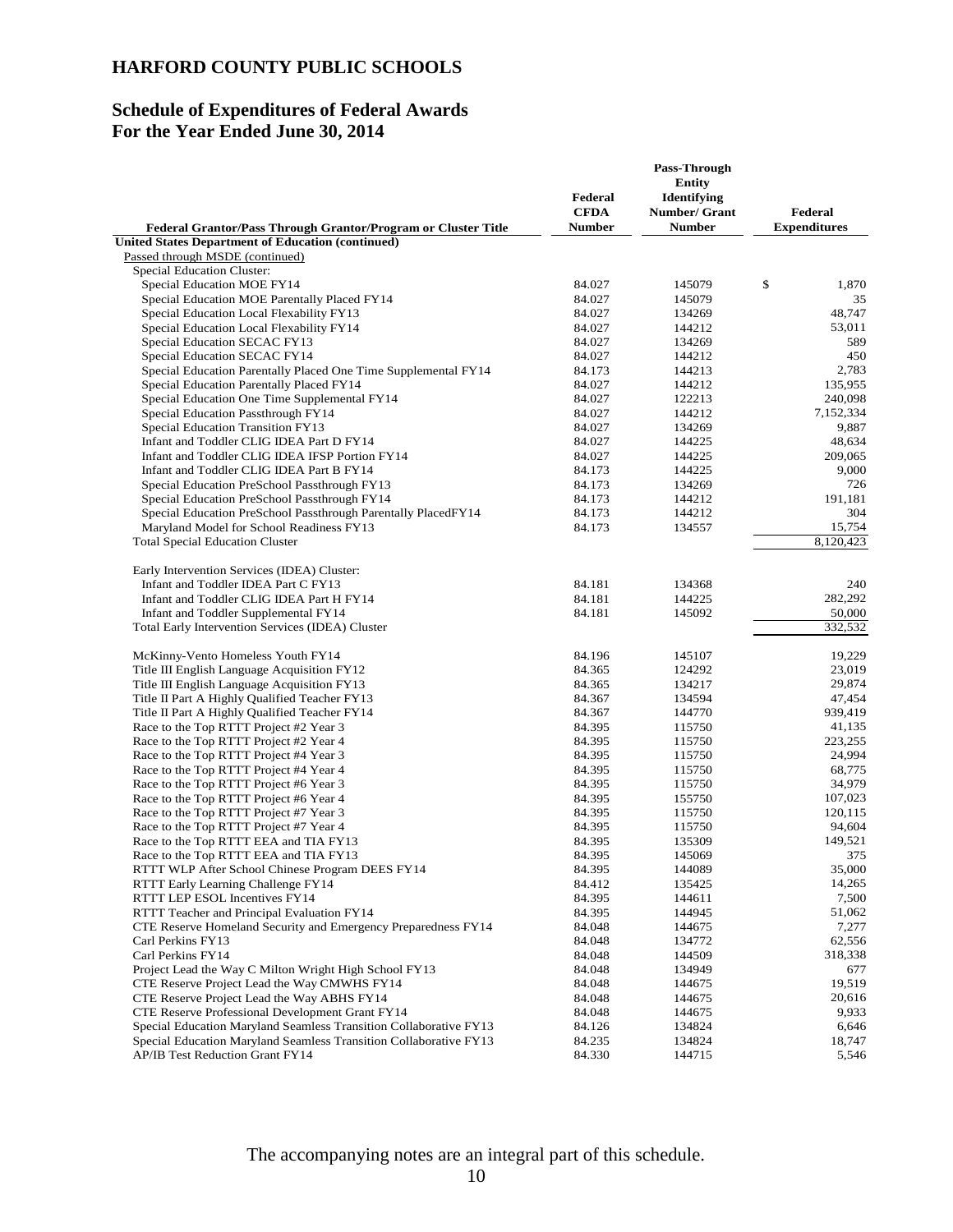## **Schedule of Expenditures of Federal Awards For the Year Ended June 30, 2014**

|                                                                                                             | Federal                      | Pass-Through<br><b>Entity</b><br><b>Identifying</b> |                                |
|-------------------------------------------------------------------------------------------------------------|------------------------------|-----------------------------------------------------|--------------------------------|
| Federal Grantor/Pass Through Grantor/Program or Cluster Title                                               | <b>CFDA</b><br><b>Number</b> | Number/ Grant<br><b>Number</b>                      | Federal<br><b>Expenditures</b> |
| <b>United States Department of Education (continued)</b>                                                    |                              |                                                     |                                |
| Passed through MSDE (continued)                                                                             |                              |                                                     |                                |
| <b>Special Education Cluster:</b>                                                                           |                              |                                                     |                                |
| Special Education MOE FY14                                                                                  | 84.027                       | 145079                                              | \$<br>1,870                    |
| Special Education MOE Parentally Placed FY14                                                                | 84.027                       | 145079                                              | 35                             |
| Special Education Local Flexability FY13                                                                    | 84.027                       | 134269                                              | 48,747                         |
| Special Education Local Flexability FY14                                                                    | 84.027                       | 144212                                              | 53,011                         |
| Special Education SECAC FY13                                                                                | 84.027                       | 134269                                              | 589                            |
| Special Education SECAC FY14                                                                                | 84.027                       | 144212                                              | 450                            |
| Special Education Parentally Placed One Time Supplemental FY14                                              | 84.173                       | 144213                                              | 2,783                          |
| Special Education Parentally Placed FY14                                                                    | 84.027                       | 144212                                              | 135,955                        |
| Special Education One Time Supplemental FY14                                                                | 84.027                       | 122213                                              | 240,098<br>7,152,334           |
| Special Education Passthrough FY14<br>Special Education Transition FY13                                     | 84.027<br>84.027             | 144212<br>134269                                    | 9,887                          |
| Infant and Toddler CLIG IDEA Part D FY14                                                                    | 84.027                       | 144225                                              | 48,634                         |
| Infant and Toddler CLIG IDEA IFSP Portion FY14                                                              | 84.027                       | 144225                                              | 209,065                        |
| Infant and Toddler CLIG IDEA Part B FY14                                                                    | 84.173                       | 144225                                              | 9,000                          |
| Special Education PreSchool Passthrough FY13                                                                | 84.173                       | 134269                                              | 726                            |
| Special Education PreSchool Passthrough FY14                                                                | 84.173                       | 144212                                              | 191,181                        |
| Special Education PreSchool Passthrough Parentally PlacedFY14                                               | 84.173                       | 144212                                              | 304                            |
| Maryland Model for School Readiness FY13                                                                    | 84.173                       | 134557                                              | 15,754                         |
| <b>Total Special Education Cluster</b>                                                                      |                              |                                                     | 8,120,423                      |
| Early Intervention Services (IDEA) Cluster:                                                                 |                              |                                                     |                                |
| Infant and Toddler IDEA Part C FY13                                                                         | 84.181                       | 134368                                              | 240                            |
| Infant and Toddler CLIG IDEA Part H FY14                                                                    | 84.181                       | 144225                                              | 282,292                        |
| Infant and Toddler Supplemental FY14                                                                        | 84.181                       | 145092                                              | 50,000                         |
| Total Early Intervention Services (IDEA) Cluster                                                            |                              |                                                     | 332,532                        |
| McKinny-Vento Homeless Youth FY14                                                                           | 84.196                       | 145107                                              | 19,229                         |
| Title III English Language Acquisition FY12                                                                 | 84.365                       | 124292                                              | 23,019                         |
| Title III English Language Acquisition FY13                                                                 | 84.365                       | 134217                                              | 29,874                         |
| Title II Part A Highly Qualified Teacher FY13                                                               | 84.367                       | 134594                                              | 47,454                         |
| Title II Part A Highly Qualified Teacher FY14                                                               | 84.367                       | 144770                                              | 939,419                        |
| Race to the Top RTTT Project #2 Year 3                                                                      | 84.395                       | 115750                                              | 41,135                         |
| Race to the Top RTTT Project #2 Year 4                                                                      | 84.395                       | 115750                                              | 223,255                        |
| Race to the Top RTTT Project #4 Year 3                                                                      | 84.395                       | 115750                                              | 24,994                         |
| Race to the Top RTTT Project #4 Year 4                                                                      | 84.395                       | 115750                                              | 68,775                         |
| Race to the Top RTTT Project #6 Year 3                                                                      | 84.395                       | 115750                                              | 34,979                         |
| Race to the Top RTTT Project #6 Year 4                                                                      | 84.395                       | 155750                                              | 107,023                        |
| Race to the Top RTTT Project #7 Year 3                                                                      | 84.395                       | 115750                                              | 120,115                        |
| Race to the Top RTTT Project #7 Year 4                                                                      | 84.395                       | 115750                                              | 94,604                         |
| Race to the Top RTTT EEA and TIA FY13                                                                       | 84.395                       | 135309                                              | 149,521                        |
| Race to the Top RTTT EEA and TIA FY13                                                                       | 84.395                       | 145069                                              | 375                            |
| RTTT WLP After School Chinese Program DEES FY14                                                             | 84.395                       | 144089                                              | 35,000                         |
| RTTT Early Learning Challenge FY14                                                                          | 84.412                       | 135425                                              | 14,265                         |
| RTTT LEP ESOL Incentives FY14                                                                               | 84.395                       | 144611                                              | 7,500                          |
| RTTT Teacher and Principal Evaluation FY14<br>CTE Reserve Homeland Security and Emergency Preparedness FY14 | 84.395<br>84.048             | 144945<br>144675                                    | 51,062<br>7,277                |
| Carl Perkins FY13                                                                                           | 84.048                       | 134772                                              | 62,556                         |
| Carl Perkins FY14                                                                                           | 84.048                       | 144509                                              | 318,338                        |
| Project Lead the Way C Milton Wright High School FY13                                                       | 84.048                       | 134949                                              | 677                            |
| CTE Reserve Project Lead the Way CMWHS FY14                                                                 | 84.048                       | 144675                                              | 19,519                         |
| CTE Reserve Project Lead the Way ABHS FY14                                                                  | 84.048                       | 144675                                              | 20,616                         |
| CTE Reserve Professional Development Grant FY14                                                             | 84.048                       | 144675                                              | 9,933                          |
| Special Education Maryland Seamless Transition Collaborative FY13                                           | 84.126                       | 134824                                              | 6,646                          |
| Special Education Maryland Seamless Transition Collaborative FY13                                           | 84.235                       | 134824                                              | 18,747                         |
| AP/IB Test Reduction Grant FY14                                                                             | 84.330                       | 144715                                              | 5,546                          |
|                                                                                                             |                              |                                                     |                                |

The accompanying notes are an integral part of this schedule.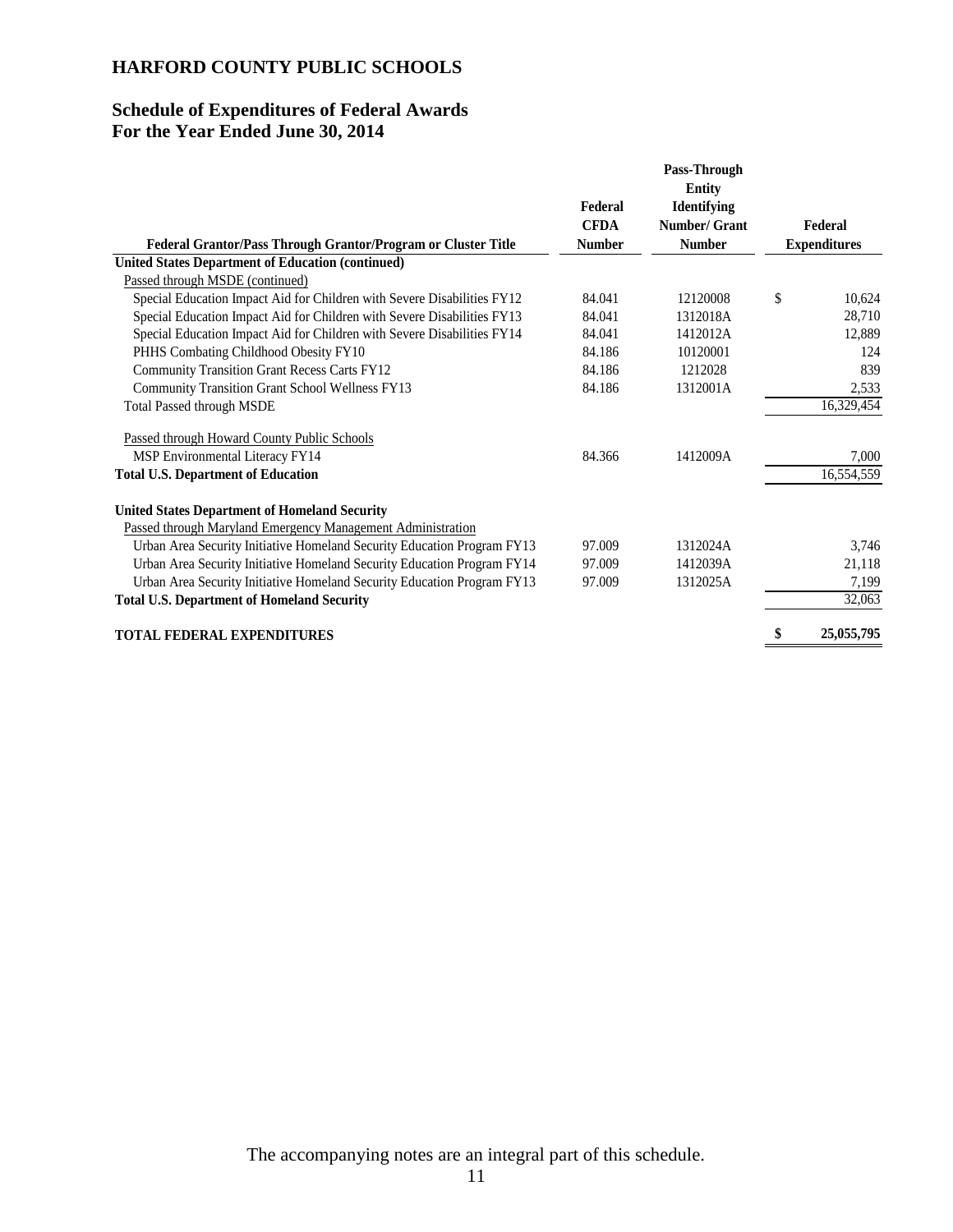## **Schedule of Expenditures of Federal Awards For the Year Ended June 30, 2014**

| Federal<br><b>CFDA</b>                                                            | Pass-Through<br><b>Entity</b><br><b>Identifying</b><br>Number/ Grant | Federal             |
|-----------------------------------------------------------------------------------|----------------------------------------------------------------------|---------------------|
| <b>Number</b><br>Federal Grantor/Pass Through Grantor/Program or Cluster Title    | <b>Number</b>                                                        | <b>Expenditures</b> |
| <b>United States Department of Education (continued)</b>                          |                                                                      |                     |
| Passed through MSDE (continued)                                                   |                                                                      |                     |
| Special Education Impact Aid for Children with Severe Disabilities FY12<br>84.041 | 12120008                                                             | \$<br>10,624        |
| Special Education Impact Aid for Children with Severe Disabilities FY13<br>84.041 | 1312018A                                                             | 28,710              |
| Special Education Impact Aid for Children with Severe Disabilities FY14<br>84.041 | 1412012A                                                             | 12,889              |
| PHHS Combating Childhood Obesity FY10<br>84.186                                   | 10120001                                                             | 124                 |
| <b>Community Transition Grant Recess Carts FY12</b><br>84.186                     | 1212028                                                              | 839                 |
| Community Transition Grant School Wellness FY13<br>84.186                         | 1312001A                                                             | 2,533               |
| <b>Total Passed through MSDE</b>                                                  |                                                                      | 16,329,454          |
| Passed through Howard County Public Schools                                       |                                                                      |                     |
| MSP Environmental Literacy FY14<br>84.366                                         | 1412009A                                                             | 7,000               |
| <b>Total U.S. Department of Education</b>                                         |                                                                      | 16,554,559          |
| <b>United States Department of Homeland Security</b>                              |                                                                      |                     |
| Passed through Maryland Emergency Management Administration                       |                                                                      |                     |
| Urban Area Security Initiative Homeland Security Education Program FY13<br>97.009 | 1312024A                                                             | 3,746               |
| Urban Area Security Initiative Homeland Security Education Program FY14<br>97.009 | 1412039A                                                             | 21,118              |
| Urban Area Security Initiative Homeland Security Education Program FY13<br>97.009 | 1312025A                                                             | 7,199               |
| <b>Total U.S. Department of Homeland Security</b>                                 |                                                                      | 32,063              |
| <b>TOTAL FEDERAL EXPENDITURES</b>                                                 |                                                                      | 25,055,795<br>S     |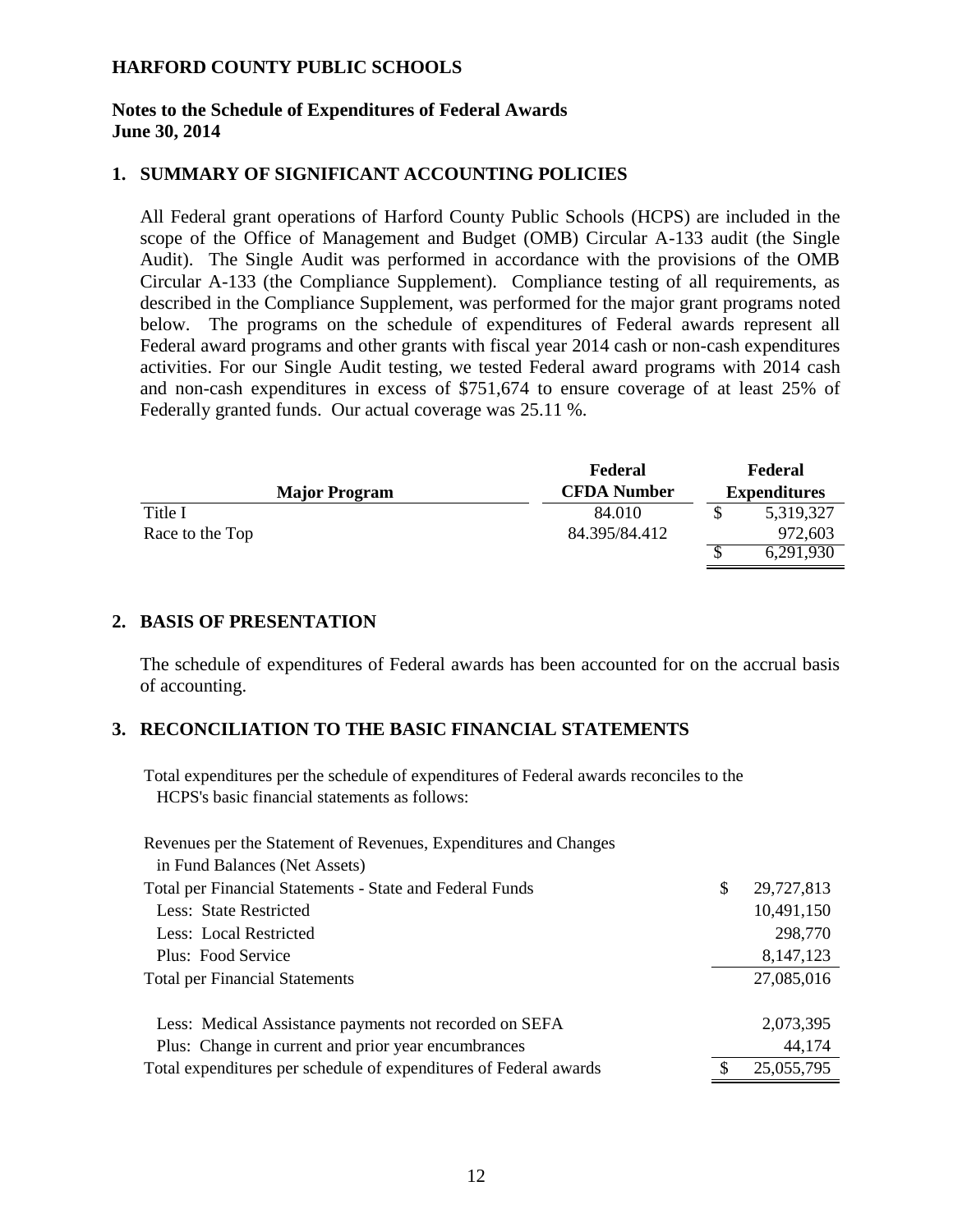#### **Notes to the Schedule of Expenditures of Federal Awards June 30, 2014**

#### **1. SUMMARY OF SIGNIFICANT ACCOUNTING POLICIES**

All Federal grant operations of Harford County Public Schools (HCPS) are included in the scope of the Office of Management and Budget (OMB) Circular A-133 audit (the Single Audit). The Single Audit was performed in accordance with the provisions of the OMB Circular A-133 (the Compliance Supplement). Compliance testing of all requirements, as described in the Compliance Supplement, was performed for the major grant programs noted below. The programs on the schedule of expenditures of Federal awards represent all Federal award programs and other grants with fiscal year 2014 cash or non-cash expenditures activities. For our Single Audit testing, we tested Federal award programs with 2014 cash and non-cash expenditures in excess of \$751,674 to ensure coverage of at least 25% of Federally granted funds. Our actual coverage was 25.11 %.

|                      | Federal            |  | Federal             |  |
|----------------------|--------------------|--|---------------------|--|
| <b>Major Program</b> | <b>CFDA Number</b> |  | <b>Expenditures</b> |  |
| Title I              | 84.010             |  | 5,319,327           |  |
| Race to the Top      | 84.395/84.412      |  | 972,603             |  |
|                      |                    |  | 6,291,930           |  |

#### **2. BASIS OF PRESENTATION**

The schedule of expenditures of Federal awards has been accounted for on the accrual basis of accounting.

#### **3. RECONCILIATION TO THE BASIC FINANCIAL STATEMENTS**

Total expenditures per the schedule of expenditures of Federal awards reconciles to the HCPS's basic financial statements as follows:

| Revenues per the Statement of Revenues, Expenditures and Changes  |    |            |
|-------------------------------------------------------------------|----|------------|
| in Fund Balances (Net Assets)                                     |    |            |
| Total per Financial Statements - State and Federal Funds          | \$ | 29,727,813 |
| Less: State Restricted                                            |    | 10,491,150 |
| Less: Local Restricted                                            |    | 298,770    |
| Plus: Food Service                                                |    | 8,147,123  |
| <b>Total per Financial Statements</b>                             |    | 27,085,016 |
|                                                                   |    |            |
| Less: Medical Assistance payments not recorded on SEFA            |    | 2,073,395  |
| Plus: Change in current and prior year encumbrances               |    | 44,174     |
| Total expenditures per schedule of expenditures of Federal awards | S  | 25,055,795 |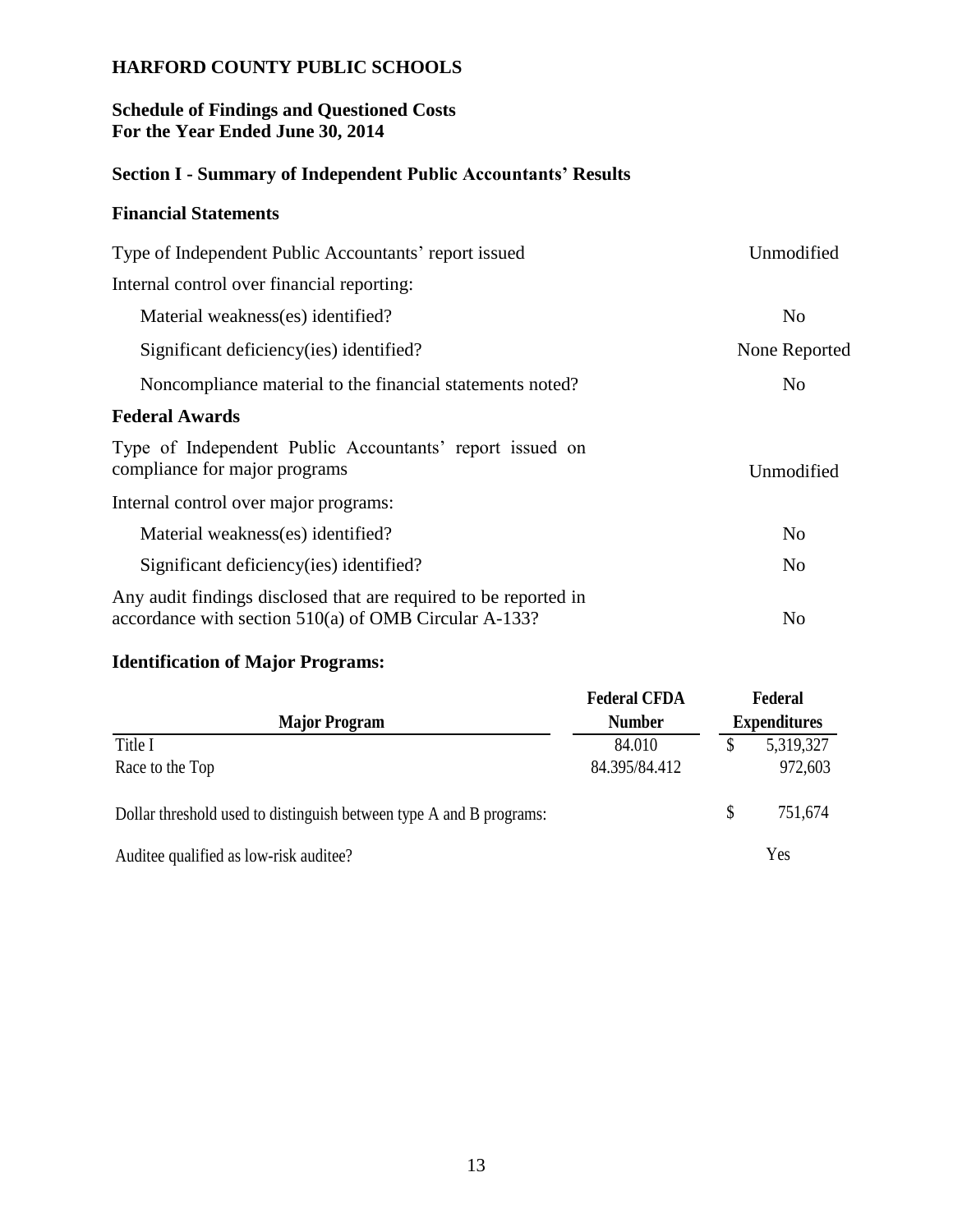## **Schedule of Findings and Questioned Costs For the Year Ended June 30, 2014**

# **Section I - Summary of Independent Public Accountants' Results**

# **Financial Statements**

| Type of Independent Public Accountants' report issued                                                                     | Unmodified     |
|---------------------------------------------------------------------------------------------------------------------------|----------------|
| Internal control over financial reporting:                                                                                |                |
| Material weakness(es) identified?                                                                                         | N <sub>0</sub> |
| Significant deficiency (ies) identified?                                                                                  | None Reported  |
| Noncompliance material to the financial statements noted?                                                                 | N <sub>0</sub> |
| <b>Federal Awards</b>                                                                                                     |                |
| Type of Independent Public Accountants' report issued on<br>compliance for major programs                                 | Unmodified     |
| Internal control over major programs:                                                                                     |                |
| Material weakness(es) identified?                                                                                         | N <sub>o</sub> |
| Significant deficiency (ies) identified?                                                                                  | N <sub>0</sub> |
| Any audit findings disclosed that are required to be reported in<br>accordance with section 510(a) of OMB Circular A-133? | N <sub>o</sub> |

# **Identification of Major Programs:**

| <b>Identification of Major Programs:</b>                            |                                       |    |                     |  |
|---------------------------------------------------------------------|---------------------------------------|----|---------------------|--|
|                                                                     | <b>Federal CFDA</b>                   |    | Federal             |  |
|                                                                     | <b>Major Program</b><br><b>Number</b> |    | <b>Expenditures</b> |  |
| Title I                                                             | 84.010                                | \$ | 5,319,327           |  |
| Race to the Top                                                     | 84.395/84.412                         |    | 972,603             |  |
| Dollar threshold used to distinguish between type A and B programs: |                                       | \$ | 751,674             |  |
| Auditee qualified as low-risk auditee?                              |                                       |    | Yes                 |  |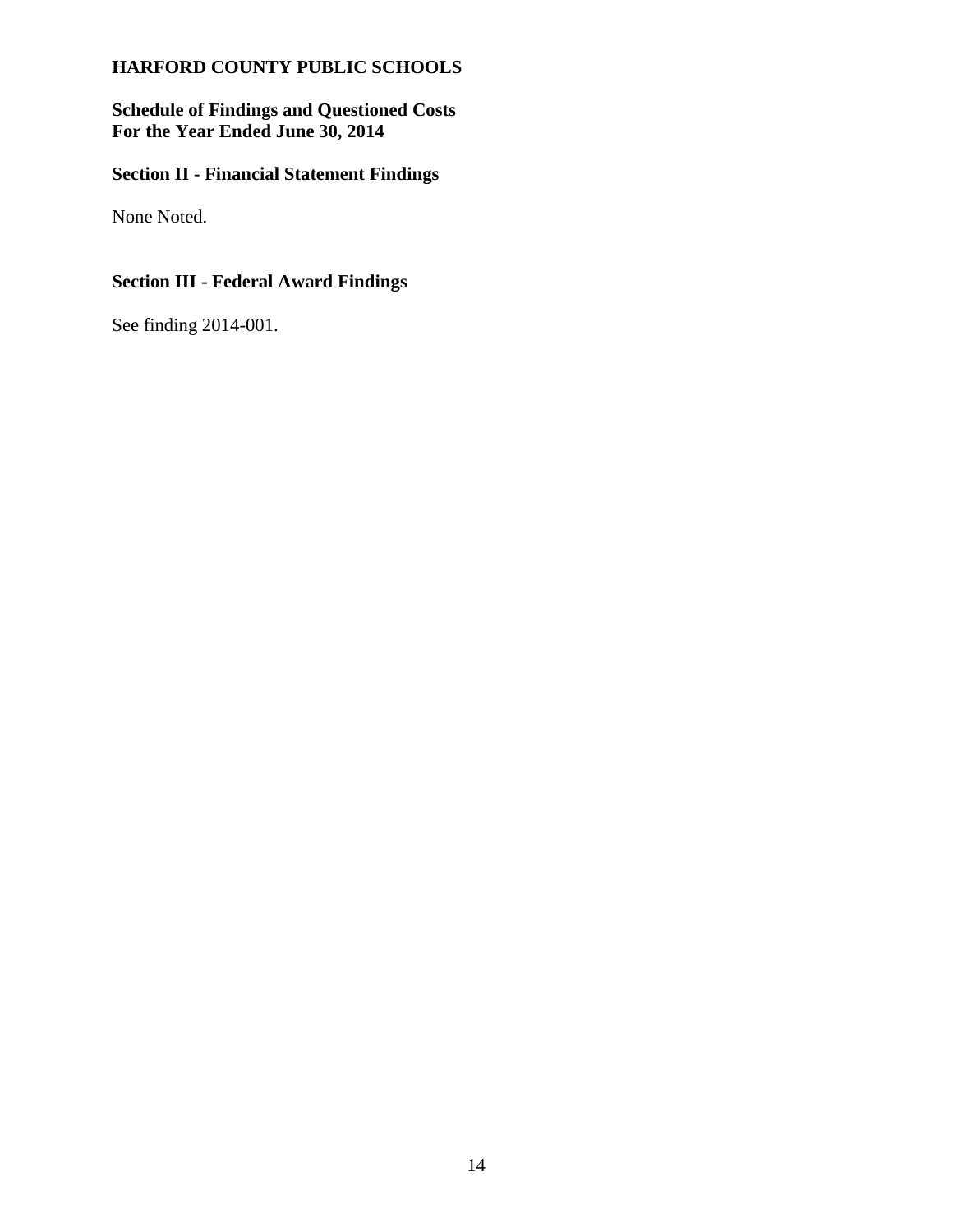**Schedule of Findings and Questioned Costs For the Year Ended June 30, 2014**

# **Section II - Financial Statement Findings**

None Noted.

# **Section III - Federal Award Findings**

See finding 2014-001.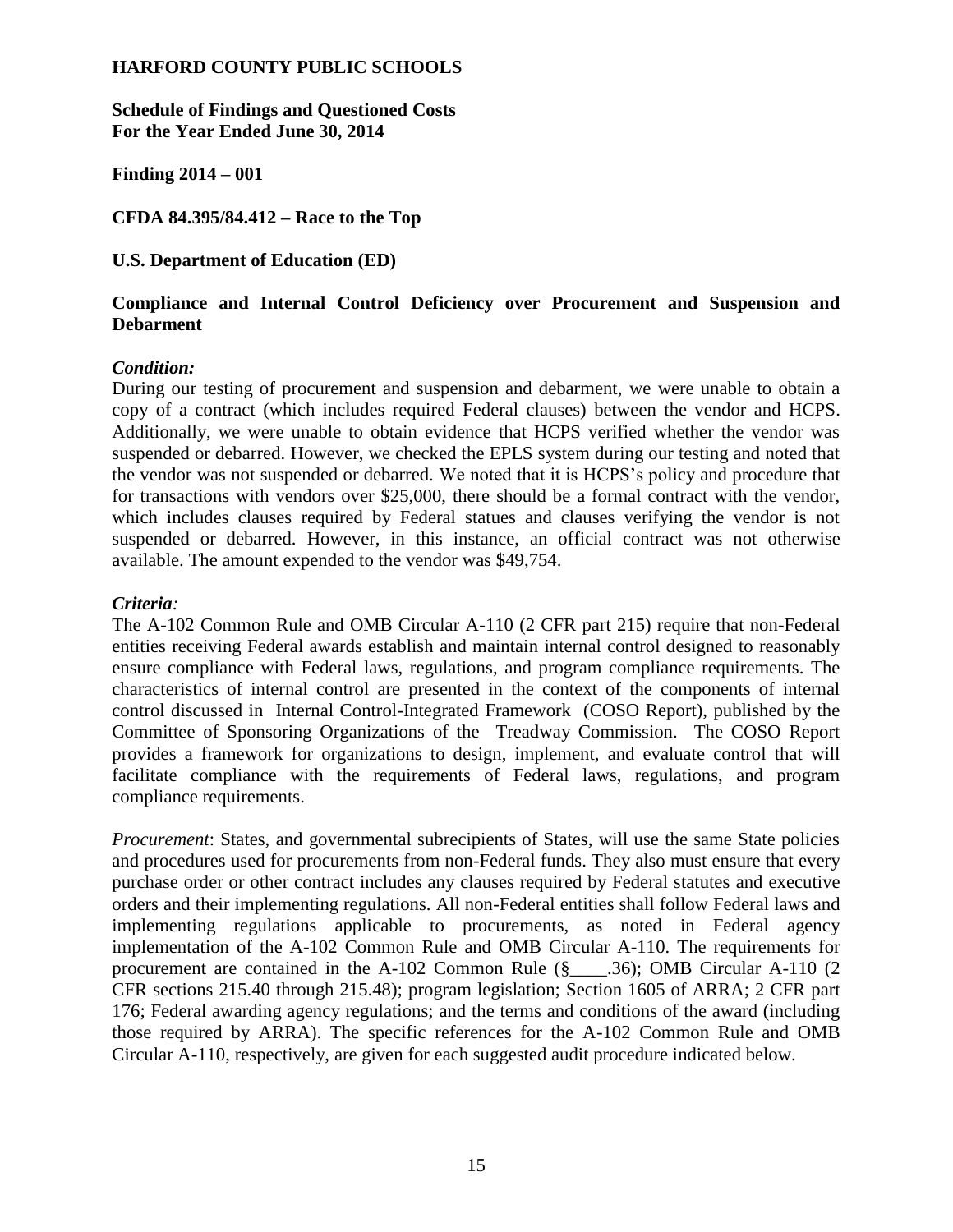**Schedule of Findings and Questioned Costs For the Year Ended June 30, 2014**

**Finding 2014 – 001**

**CFDA 84.395/84.412 – Race to the Top** 

## **U.S. Department of Education (ED)**

## **Compliance and Internal Control Deficiency over Procurement and Suspension and Debarment**

## *Condition:*

During our testing of procurement and suspension and debarment, we were unable to obtain a copy of a contract (which includes required Federal clauses) between the vendor and HCPS. Additionally, we were unable to obtain evidence that HCPS verified whether the vendor was suspended or debarred. However, we checked the EPLS system during our testing and noted that the vendor was not suspended or debarred. We noted that it is HCPS's policy and procedure that for transactions with vendors over \$25,000, there should be a formal contract with the vendor, which includes clauses required by Federal statues and clauses verifying the vendor is not suspended or debarred. However, in this instance, an official contract was not otherwise available. The amount expended to the vendor was \$49,754.

## *Criteria:*

The A-102 Common Rule and OMB Circular A-110 (2 CFR part 215) require that non-Federal entities receiving Federal awards establish and maintain internal control designed to reasonably ensure compliance with Federal laws, regulations, and program compliance requirements. The characteristics of internal control are presented in the context of the components of internal control discussed in Internal Control-Integrated Framework (COSO Report), published by the Committee of Sponsoring Organizations of the Treadway Commission. The COSO Report provides a framework for organizations to design, implement, and evaluate control that will facilitate compliance with the requirements of Federal laws, regulations, and program compliance requirements.

*Procurement*: States, and governmental subrecipients of States, will use the same State policies and procedures used for procurements from non-Federal funds. They also must ensure that every purchase order or other contract includes any clauses required by Federal statutes and executive orders and their implementing regulations. All non-Federal entities shall follow Federal laws and implementing regulations applicable to procurements, as noted in Federal agency implementation of the A-102 Common Rule and OMB Circular A-110. The requirements for procurement are contained in the A-102 Common Rule  $(\S$  .36); OMB Circular A-110 (2) CFR sections 215.40 through 215.48); program legislation; Section 1605 of ARRA; 2 CFR part 176; Federal awarding agency regulations; and the terms and conditions of the award (including those required by ARRA). The specific references for the A-102 Common Rule and OMB Circular A-110, respectively, are given for each suggested audit procedure indicated below.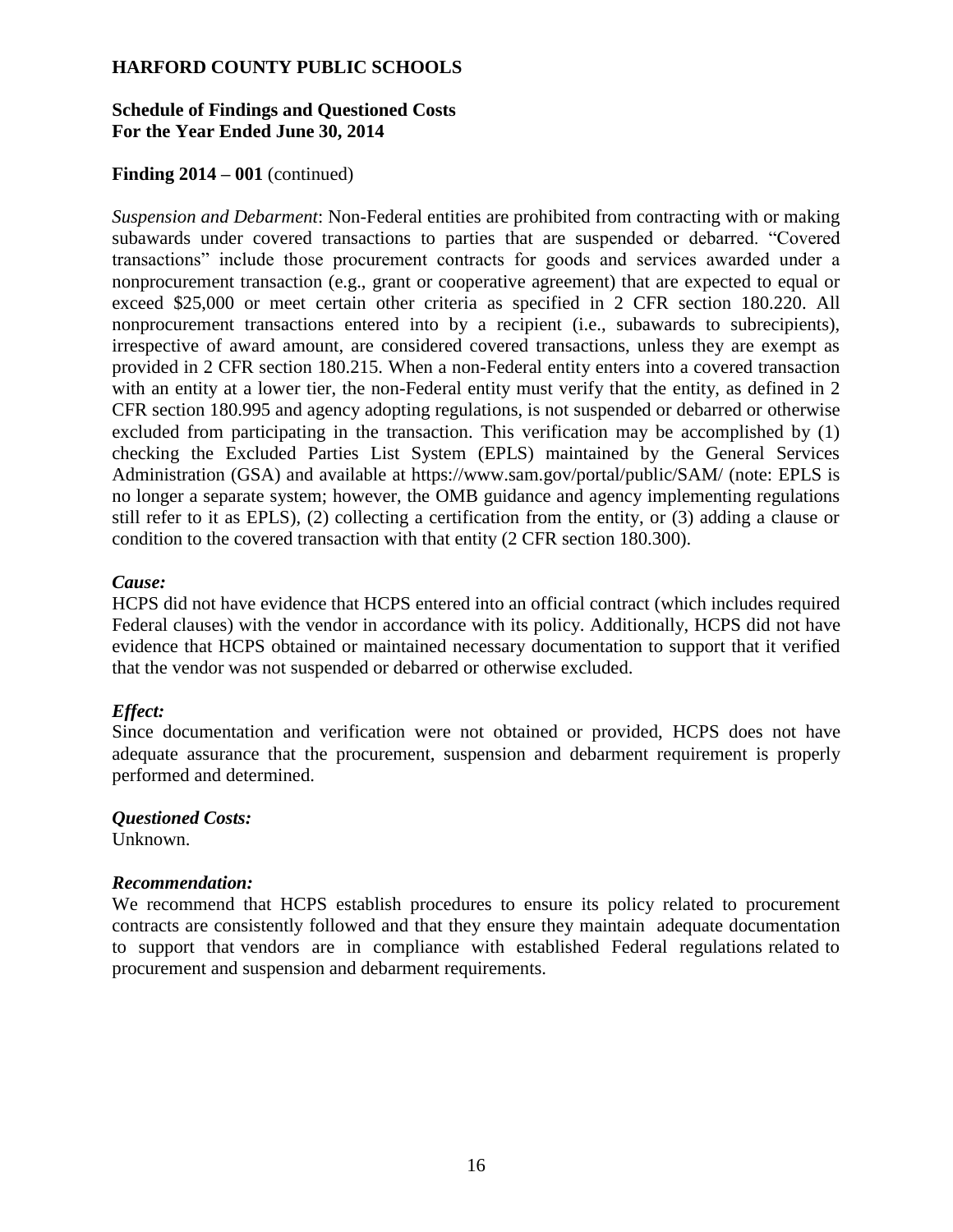## **Schedule of Findings and Questioned Costs For the Year Ended June 30, 2014**

## **Finding 2014 – 001** (continued)

*Suspension and Debarment*: Non-Federal entities are prohibited from contracting with or making subawards under covered transactions to parties that are suspended or debarred. "Covered transactions" include those procurement contracts for goods and services awarded under a nonprocurement transaction (e.g., grant or cooperative agreement) that are expected to equal or exceed \$25,000 or meet certain other criteria as specified in 2 CFR section 180.220. All nonprocurement transactions entered into by a recipient (i.e., subawards to subrecipients), irrespective of award amount, are considered covered transactions, unless they are exempt as provided in 2 CFR section 180.215. When a non-Federal entity enters into a covered transaction with an entity at a lower tier, the non-Federal entity must verify that the entity, as defined in 2 CFR section 180.995 and agency adopting regulations, is not suspended or debarred or otherwise excluded from participating in the transaction. This verification may be accomplished by (1) checking the Excluded Parties List System (EPLS) maintained by the General Services Administration (GSA) and available at https://www.sam.gov/portal/public/SAM/ (note: EPLS is no longer a separate system; however, the OMB guidance and agency implementing regulations still refer to it as EPLS), (2) collecting a certification from the entity, or (3) adding a clause or condition to the covered transaction with that entity (2 CFR section 180.300).

#### *Cause:*

HCPS did not have evidence that HCPS entered into an official contract (which includes required Federal clauses) with the vendor in accordance with its policy. Additionally, HCPS did not have evidence that HCPS obtained or maintained necessary documentation to support that it verified that the vendor was not suspended or debarred or otherwise excluded.

## *Effect:*

Since documentation and verification were not obtained or provided, HCPS does not have adequate assurance that the procurement, suspension and debarment requirement is properly performed and determined.

*Questioned Costs:*  Unknown.

#### *Recommendation:*

We recommend that HCPS establish procedures to ensure its policy related to procurement contracts are consistently followed and that they ensure they maintain adequate documentation to support that vendors are in compliance with established Federal regulations related to procurement and suspension and debarment requirements.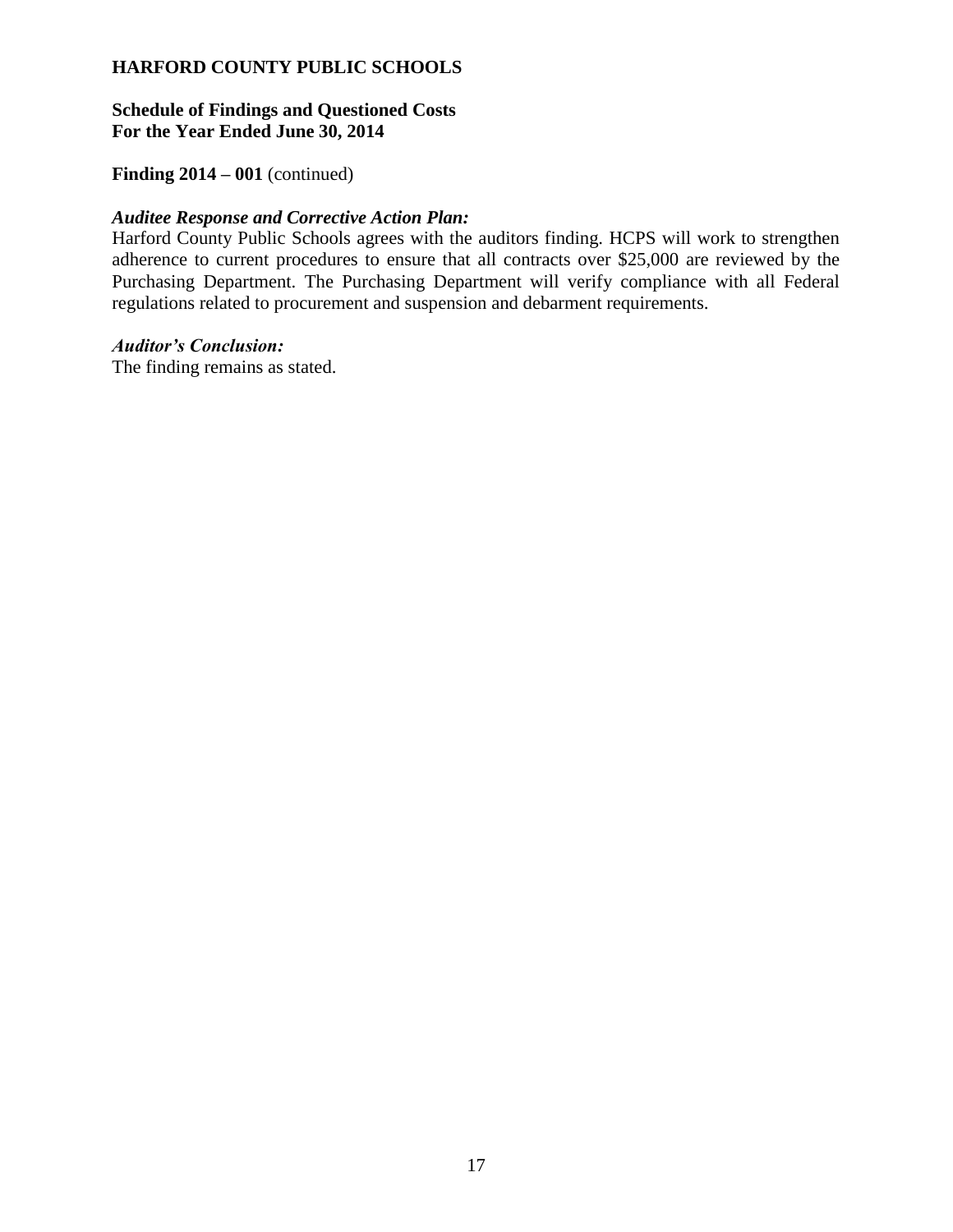### **Schedule of Findings and Questioned Costs For the Year Ended June 30, 2014**

## **Finding 2014 – 001** (continued)

#### *Auditee Response and Corrective Action Plan:*

Harford County Public Schools agrees with the auditors finding. HCPS will work to strengthen adherence to current procedures to ensure that all contracts over \$25,000 are reviewed by the Purchasing Department. The Purchasing Department will verify compliance with all Federal regulations related to procurement and suspension and debarment requirements.

#### *Auditor's Conclusion:*

The finding remains as stated.